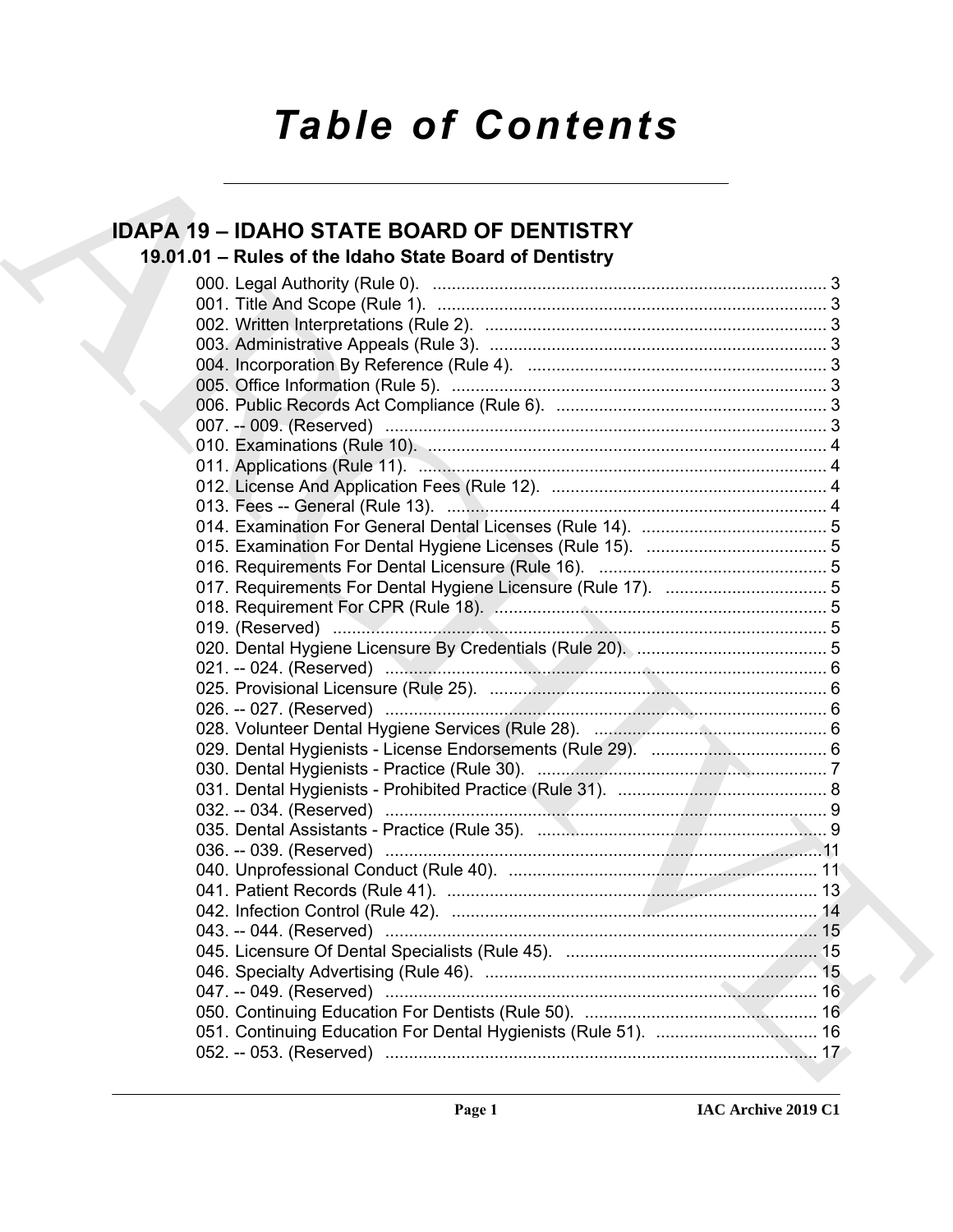# *Table of Contents*

# **IDAPA 19 – IDAHO STATE BOARD OF DENTISTRY**

# **19.01.01 – Rules of the Idaho State Board of Dentistry**

| <b>IDAPA 19 - IDAHO STATE BOARD OF DENTISTRY</b>       |  |
|--------------------------------------------------------|--|
| 19.01.01 - Rules of the Idaho State Board of Dentistry |  |
|                                                        |  |
|                                                        |  |
|                                                        |  |
|                                                        |  |
|                                                        |  |
|                                                        |  |
|                                                        |  |
|                                                        |  |
|                                                        |  |
|                                                        |  |
|                                                        |  |
|                                                        |  |
|                                                        |  |
|                                                        |  |
|                                                        |  |
|                                                        |  |
|                                                        |  |
|                                                        |  |
|                                                        |  |
|                                                        |  |
|                                                        |  |
|                                                        |  |
|                                                        |  |
|                                                        |  |
|                                                        |  |
|                                                        |  |
|                                                        |  |
|                                                        |  |
|                                                        |  |
|                                                        |  |
|                                                        |  |
|                                                        |  |
|                                                        |  |
|                                                        |  |
|                                                        |  |
|                                                        |  |
|                                                        |  |
|                                                        |  |
|                                                        |  |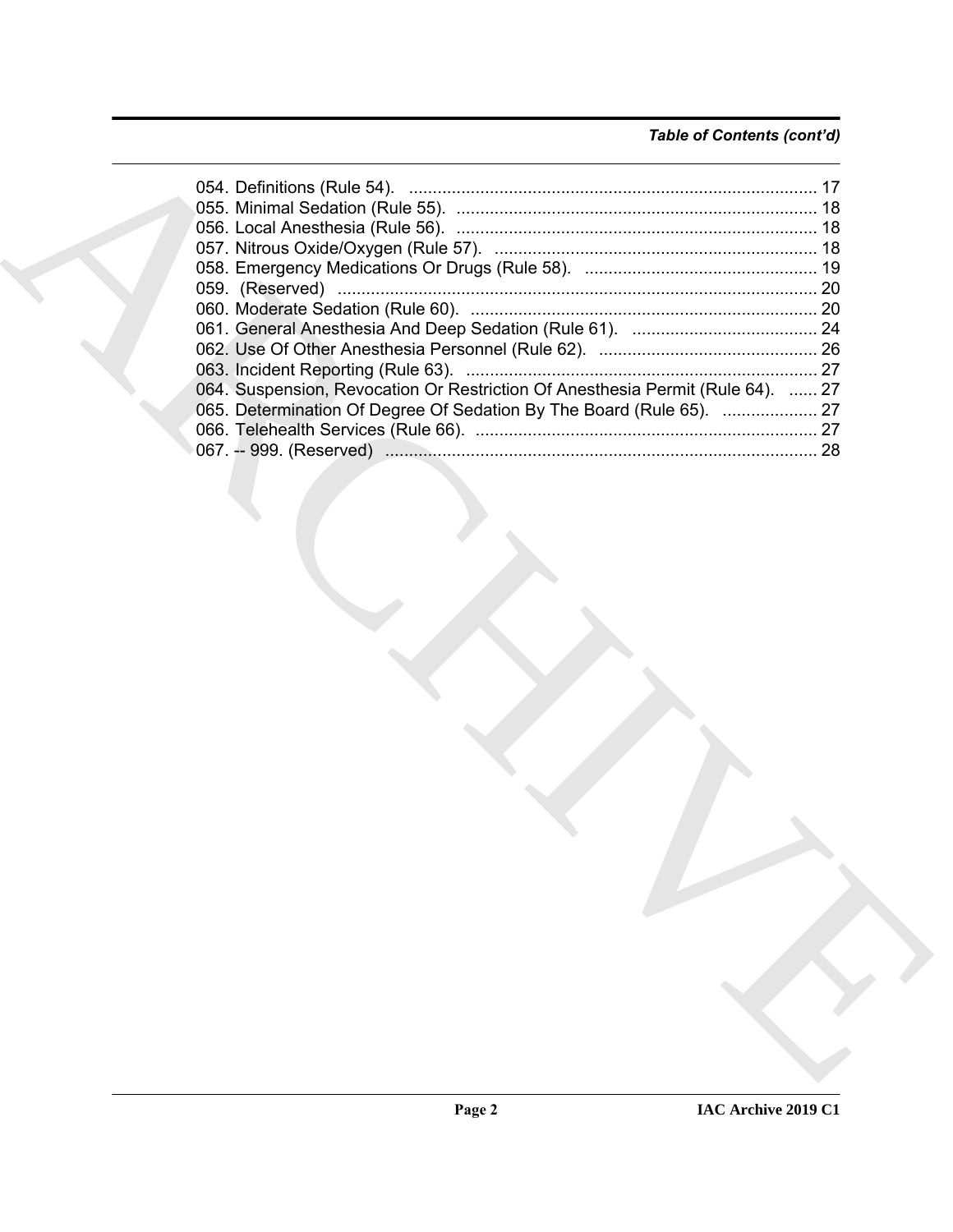# *Table of Contents (cont'd)*

| 064. Suspension, Revocation Or Restriction Of Anesthesia Permit (Rule 64).  27 |  |
|--------------------------------------------------------------------------------|--|
| 065. Determination Of Degree Of Sedation By The Board (Rule 65).  27           |  |
|                                                                                |  |
|                                                                                |  |
|                                                                                |  |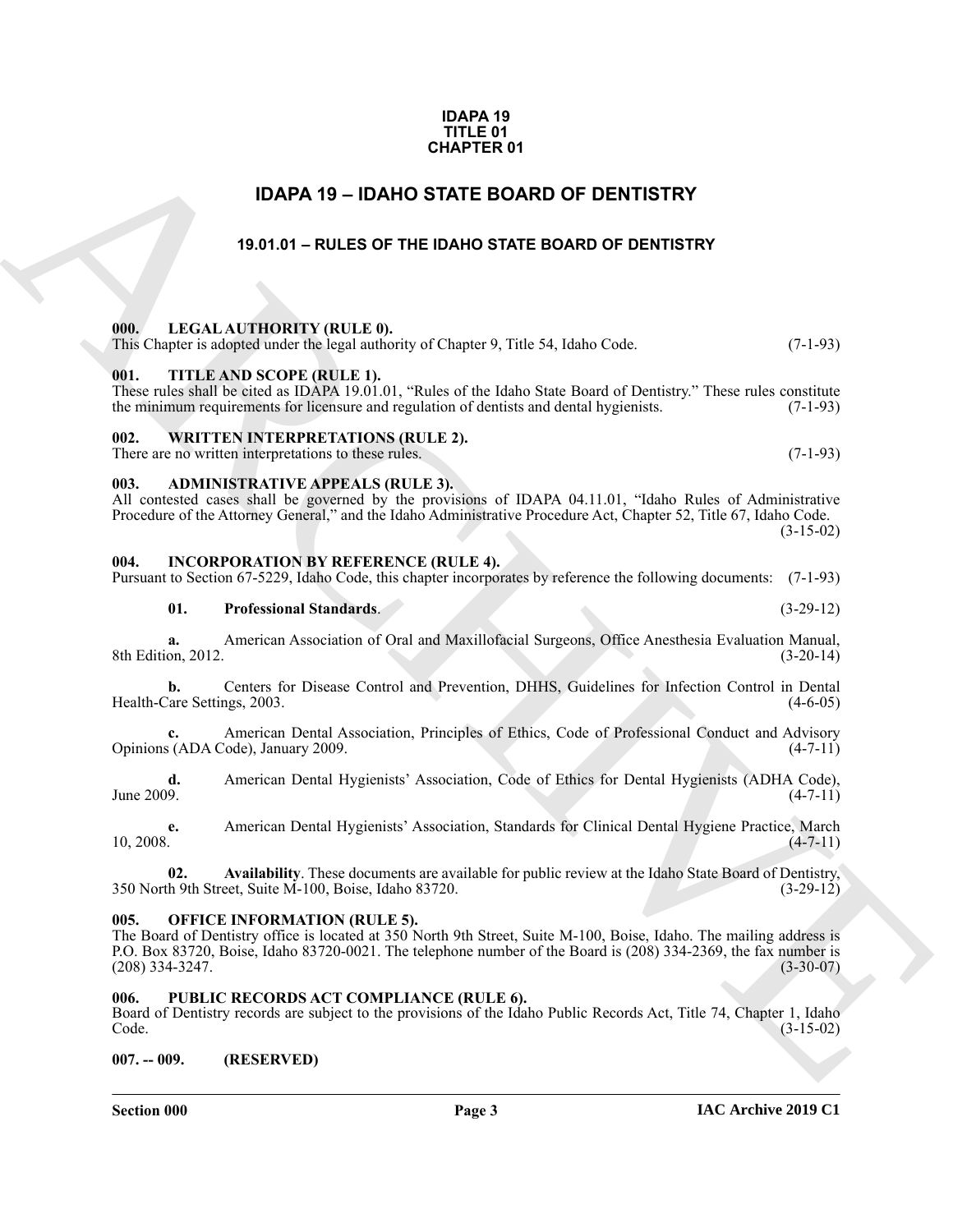#### **IDAPA 19 TITLE 01 CHAPTER 01**

## **IDAPA 19 – IDAHO STATE BOARD OF DENTISTRY**

### **19.01.01 – RULES OF THE IDAHO STATE BOARD OF DENTISTRY**

#### <span id="page-2-11"></span><span id="page-2-2"></span><span id="page-2-1"></span>**000. LEGAL AUTHORITY (RULE 0).** This Chapter is adopted under the legal authority of Chapter 9, Title 54, Idaho Code. (7-1-93)

#### <span id="page-2-14"></span><span id="page-2-3"></span>**001. TITLE AND SCOPE (RULE 1).**

#### These rules shall be cited as IDAPA 19.01.01, "Rules of the Idaho State Board of Dentistry." These rules constitute the minimum requirements for licensure and regulation of dentists and dental hygienists. (7-1-93)

#### <span id="page-2-15"></span><span id="page-2-4"></span>**002. WRITTEN INTERPRETATIONS (RULE 2).**

## There are no written interpretations to these rules. (7-1-93)

### <span id="page-2-10"></span><span id="page-2-5"></span>**003. ADMINISTRATIVE APPEALS (RULE 3).**

All contested cases shall be governed by the provisions of IDAPA 04.11.01, "Idaho Rules of Administrative Procedure of the Attorney General," and the Idaho Administrative Procedure Act, Chapter 52, Title 67, Idaho Code.  $(3-15-02)$ 

#### <span id="page-2-6"></span>**004. INCORPORATION BY REFERENCE (RULE 4).**

#### Pursuant to Section 67-5229, Idaho Code, this chapter incorporates by reference the following documents: (7-1-93)

**01. Professional Standards**. (3-29-12)

**a.** American Association of Oral and Maxillofacial Surgeons, Office Anesthesia Evaluation Manual, 8th Edition, 2012. (3-20-14)

**b.** Centers for Disease Control and Prevention, DHHS, Guidelines for Infection Control in Dental Health-Care Settings, 2003. (4-6-05)

American Dental Association, Principles of Ethics, Code of Professional Conduct and Advisory 'ode), January 2009. (4-7-11) Opinions (ADA Code), January 2009.

**d.** American Dental Hygienists' Association, Code of Ethics for Dental Hygienists (ADHA Code), [4-7-11] June 2009.  $(4-7-11)$ 

**e.** American Dental Hygienists' Association, Standards for Clinical Dental Hygiene Practice, March  $10, 2008.$  (4-7-11)

**02.** Availability. These documents are available for public review at the Idaho State Board of Dentistry, h 9th Street, Suite M-100, Boise, Idaho 83720. 350 North 9th Street, Suite M-100, Boise, Idaho 83720.

#### <span id="page-2-12"></span><span id="page-2-7"></span>**005. OFFICE INFORMATION (RULE 5).**

<span id="page-2-0"></span>**CHAPTER 01**<br> **EDGAR ATTE BOARD OF DENTISTRY**<br> **EDGAR ATTE BOARD OF DENTISTRY**<br> **ESSAL AUTHORITY (RULLE OF THE IDANO STATE BOARD OF DENTISTRY**<br> **ARCHIVE SCRIPTION INCLUS OF THE IDANO STATE BOARD OF DENTISTRY**<br> **THE CONFIG** The Board of Dentistry office is located at 350 North 9th Street, Suite M-100, Boise, Idaho. The mailing address is P.O. Box 83720, Boise, Idaho 83720-0021. The telephone number of the Board is (208) 334-2369, the fax number is  $(208)$  334-3247.

### <span id="page-2-13"></span><span id="page-2-8"></span>**006. PUBLIC RECORDS ACT COMPLIANCE (RULE 6).**

Board of Dentistry records are subject to the provisions of the Idaho Public Records Act, Title 74, Chapter 1, Idaho Code. (3-15-02)

<span id="page-2-9"></span>**007. -- 009. (RESERVED)**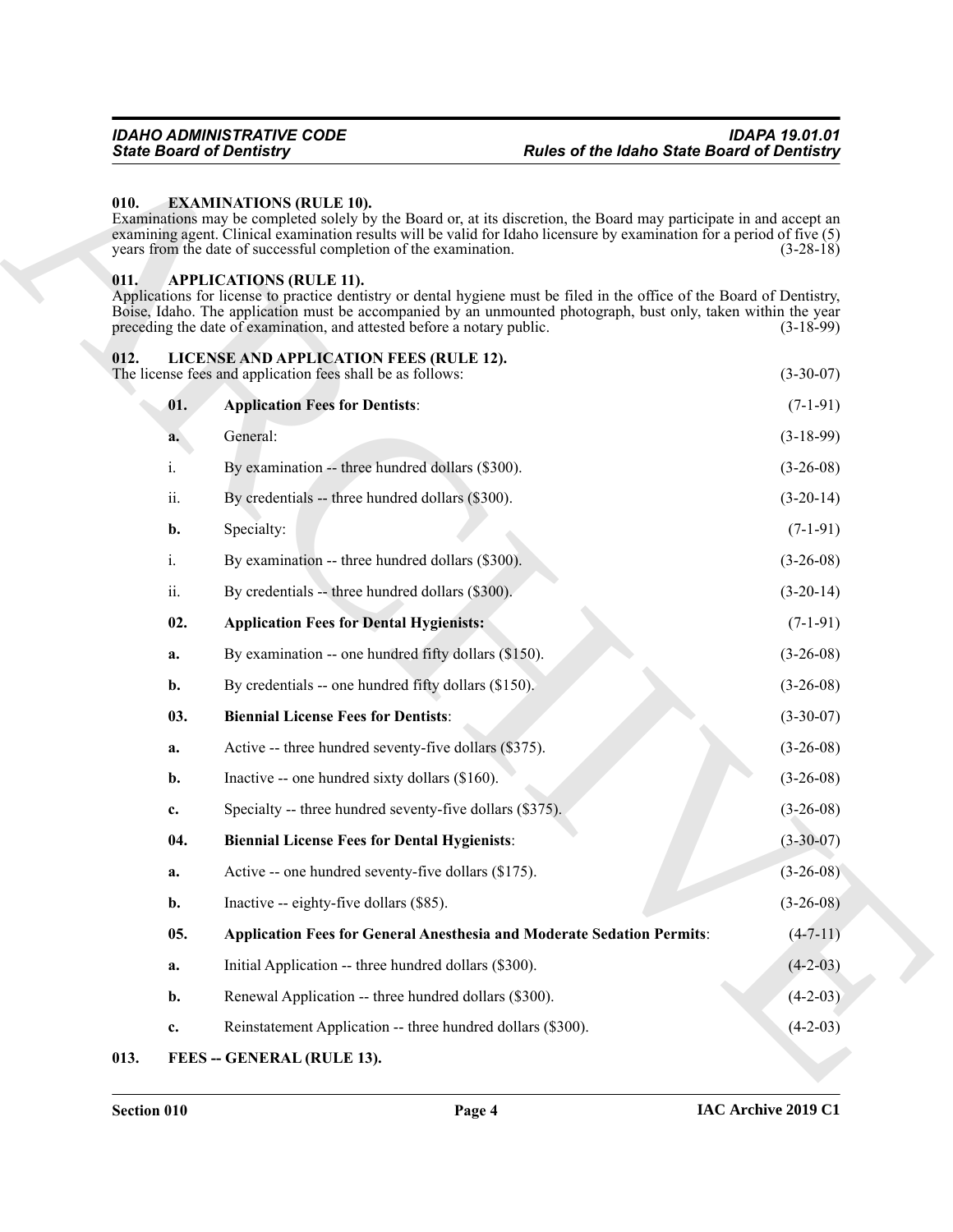#### <span id="page-3-5"></span><span id="page-3-0"></span>**010. EXAMINATIONS (RULE 10).**

#### <span id="page-3-12"></span><span id="page-3-11"></span><span id="page-3-10"></span><span id="page-3-9"></span><span id="page-3-8"></span><span id="page-3-7"></span><span id="page-3-6"></span><span id="page-3-4"></span><span id="page-3-3"></span><span id="page-3-2"></span><span id="page-3-1"></span>**011. APPLICATIONS (RULE 11).**

|      | <b>State Board of Dentistry</b>                                                                                                                                                                                                                                                                                                                        | <b>Rules of the Idaho State Board of Dentistry</b> |
|------|--------------------------------------------------------------------------------------------------------------------------------------------------------------------------------------------------------------------------------------------------------------------------------------------------------------------------------------------------------|----------------------------------------------------|
| 010. | <b>EXAMINATIONS (RULE 10).</b><br>Examinations may be completed solely by the Board or, at its discretion, the Board may participate in and accept an<br>examining agent. Clinical examination results will be valid for Idaho licensure by examination for a period of five (5)<br>years from the date of successful completion of the examination.   | $(3-28-18)$                                        |
| 011. | <b>APPLICATIONS (RULE 11).</b><br>Applications for license to practice dentistry or dental hygiene must be filed in the office of the Board of Dentistry,<br>Boise, Idaho. The application must be accompanied by an unmounted photograph, bust only, taken within the year<br>preceding the date of examination, and attested before a notary public. | $(3-18-99)$                                        |
| 012. | LICENSE AND APPLICATION FEES (RULE 12).<br>The license fees and application fees shall be as follows:                                                                                                                                                                                                                                                  | $(3-30-07)$                                        |
| 01.  | <b>Application Fees for Dentists:</b>                                                                                                                                                                                                                                                                                                                  | $(7-1-91)$                                         |
| a.   | General:                                                                                                                                                                                                                                                                                                                                               | $(3-18-99)$                                        |
| i.   | By examination -- three hundred dollars (\$300).                                                                                                                                                                                                                                                                                                       | $(3-26-08)$                                        |
| ii.  | By credentials -- three hundred dollars (\$300).                                                                                                                                                                                                                                                                                                       | $(3-20-14)$                                        |
| b.   | Specialty:                                                                                                                                                                                                                                                                                                                                             | $(7-1-91)$                                         |
| i.   | By examination -- three hundred dollars (\$300).                                                                                                                                                                                                                                                                                                       | $(3-26-08)$                                        |
| ii.  | By credentials -- three hundred dollars (\$300).                                                                                                                                                                                                                                                                                                       | $(3-20-14)$                                        |
| 02.  | <b>Application Fees for Dental Hygienists:</b>                                                                                                                                                                                                                                                                                                         | $(7-1-91)$                                         |
| a.   | By examination -- one hundred fifty dollars (\$150).                                                                                                                                                                                                                                                                                                   | $(3-26-08)$                                        |
| b.   | By credentials -- one hundred fifty dollars (\$150).                                                                                                                                                                                                                                                                                                   | $(3-26-08)$                                        |
| 03.  | <b>Biennial License Fees for Dentists:</b>                                                                                                                                                                                                                                                                                                             | $(3-30-07)$                                        |
| a.   | Active -- three hundred seventy-five dollars (\$375).                                                                                                                                                                                                                                                                                                  | $(3-26-08)$                                        |
| b.   | Inactive -- one hundred sixty dollars (\$160).                                                                                                                                                                                                                                                                                                         | $(3-26-08)$                                        |
| c.   | Specialty -- three hundred seventy-five dollars (\$375).                                                                                                                                                                                                                                                                                               | $(3-26-08)$                                        |
| 04.  | <b>Biennial License Fees for Dental Hygienists:</b>                                                                                                                                                                                                                                                                                                    | $(3-30-07)$                                        |
| a.   | Active -- one hundred seventy-five dollars (\$175).                                                                                                                                                                                                                                                                                                    | $(3-26-08)$                                        |
| b.   | Inactive -- eighty-five dollars (\$85).                                                                                                                                                                                                                                                                                                                | $(3-26-08)$                                        |
| 05.  | <b>Application Fees for General Anesthesia and Moderate Sedation Permits:</b>                                                                                                                                                                                                                                                                          | $(4 - 7 - 11)$                                     |
| a.   | Initial Application -- three hundred dollars (\$300).                                                                                                                                                                                                                                                                                                  | $(4-2-03)$                                         |
| b.   | Renewal Application -- three hundred dollars (\$300).                                                                                                                                                                                                                                                                                                  | $(4-2-03)$                                         |
| c.   | Reinstatement Application -- three hundred dollars (\$300).                                                                                                                                                                                                                                                                                            | $(4-2-03)$                                         |
| 013. | FEES -- GENERAL (RULE 13).                                                                                                                                                                                                                                                                                                                             |                                                    |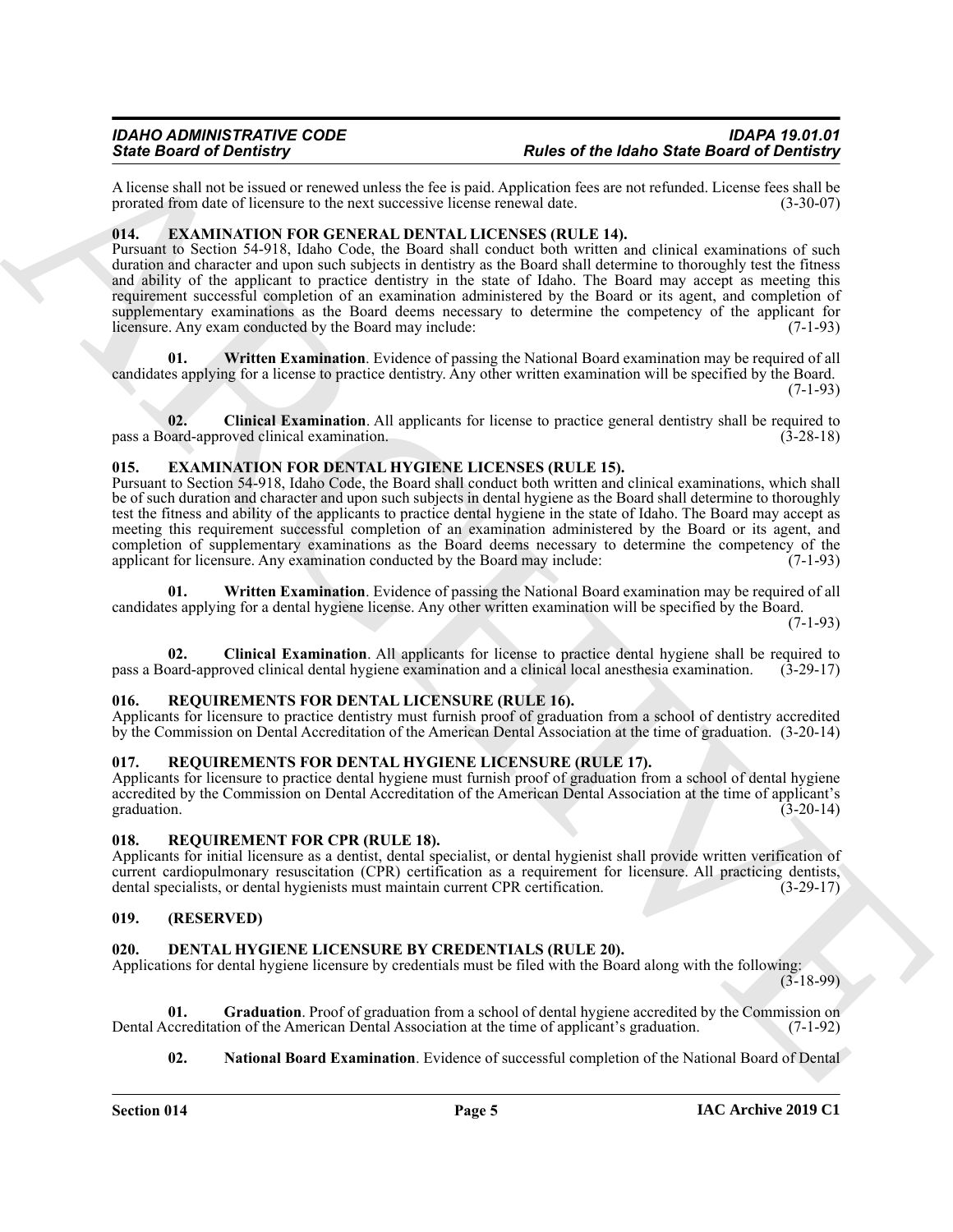A license shall not be issued or renewed unless the fee is paid. Application fees are not refunded. License fees shall be prorated from date of licensure to the next successive license renewal date.

### <span id="page-4-13"></span><span id="page-4-0"></span>**014. EXAMINATION FOR GENERAL DENTAL LICENSES (RULE 14).**

Sink Book of Demokratic transmission of Research Marchives Research Marchives Research of Book of Research Marchives Research (Applies Research Marchives Research Marchives Research (Applies Research Marchives Research Ma Pursuant to Section 54-918, Idaho Code, the Board shall conduct both written and clinical examinations of such duration and character and upon such subjects in dentistry as the Board shall determine to thoroughly test the fitness and ability of the applicant to practice dentistry in the state of Idaho. The Board may accept as meeting this requirement successful completion of an examination administered by the Board or its agent, and completion of supplementary examinations as the Board deems necessary to determine the competency of the applicant for licensure. Any exam conducted by the Board may include: (7-1-93)

<span id="page-4-15"></span>**01. Written Examination**. Evidence of passing the National Board examination may be required of all candidates applying for a license to practice dentistry. Any other written examination will be specified by the Board. (7-1-93)

<span id="page-4-14"></span>**02.** Clinical Examination. All applicants for license to practice general dentistry shall be required to pard-approved clinical examination. (3-28-18) pass a Board-approved clinical examination.

#### <span id="page-4-10"></span><span id="page-4-1"></span>**015. EXAMINATION FOR DENTAL HYGIENE LICENSES (RULE 15).**

Pursuant to Section 54-918, Idaho Code, the Board shall conduct both written and clinical examinations, which shall be of such duration and character and upon such subjects in dental hygiene as the Board shall determine to thoroughly test the fitness and ability of the applicants to practice dental hygiene in the state of Idaho. The Board may accept as meeting this requirement successful completion of an examination administered by the Board or its agent, and completion of supplementary examinations as the Board deems necessary to determine the competency of the applicant for licensure. Any examination conducted by the Board may include: (7-1-93)

<span id="page-4-12"></span>**01. Written Examination**. Evidence of passing the National Board examination may be required of all candidates applying for a dental hygiene license. Any other written examination will be specified by the Board.

(7-1-93)

<span id="page-4-11"></span>**02. Clinical Examination**. All applicants for license to practice dental hygiene shall be required to pass a Board-approved clinical dental hygiene examination and a clinical local anesthesia examination. (3-29-17)

#### <span id="page-4-18"></span><span id="page-4-2"></span>**016. REQUIREMENTS FOR DENTAL LICENSURE (RULE 16).**

Applicants for licensure to practice dentistry must furnish proof of graduation from a school of dentistry accredited by the Commission on Dental Accreditation of the American Dental Association at the time of graduation. (3-20-14)

#### <span id="page-4-17"></span><span id="page-4-3"></span>**017. REQUIREMENTS FOR DENTAL HYGIENE LICENSURE (RULE 17).**

Applicants for licensure to practice dental hygiene must furnish proof of graduation from a school of dental hygiene accredited by the Commission on Dental Accreditation of the American Dental Association at the time of applicant's graduation.  $(3-20-14)$ 

#### <span id="page-4-16"></span><span id="page-4-4"></span>**018. REQUIREMENT FOR CPR (RULE 18).**

Applicants for initial licensure as a dentist, dental specialist, or dental hygienist shall provide written verification of current cardiopulmonary resuscitation (CPR) certification as a requirement for licensure. All practicing dentists, dental specialists, or dental hygienists must maintain current CPR certification. (3-29-17) dental specialists, or dental hygienists must maintain current CPR certification.

#### <span id="page-4-5"></span>**019. (RESERVED)**

### <span id="page-4-7"></span><span id="page-4-6"></span>**020. DENTAL HYGIENE LICENSURE BY CREDENTIALS (RULE 20).**

Applications for dental hygiene licensure by credentials must be filed with the Board along with the following:

(3-18-99)

**01.** Graduation. Proof of graduation from a school of dental hygiene accredited by the Commission on ccreditation of the American Dental Association at the time of applicant's graduation. (7-1-92) Dental Accreditation of the American Dental Association at the time of applicant's graduation.

<span id="page-4-9"></span><span id="page-4-8"></span>**02.** National Board Examination. Evidence of successful completion of the National Board of Dental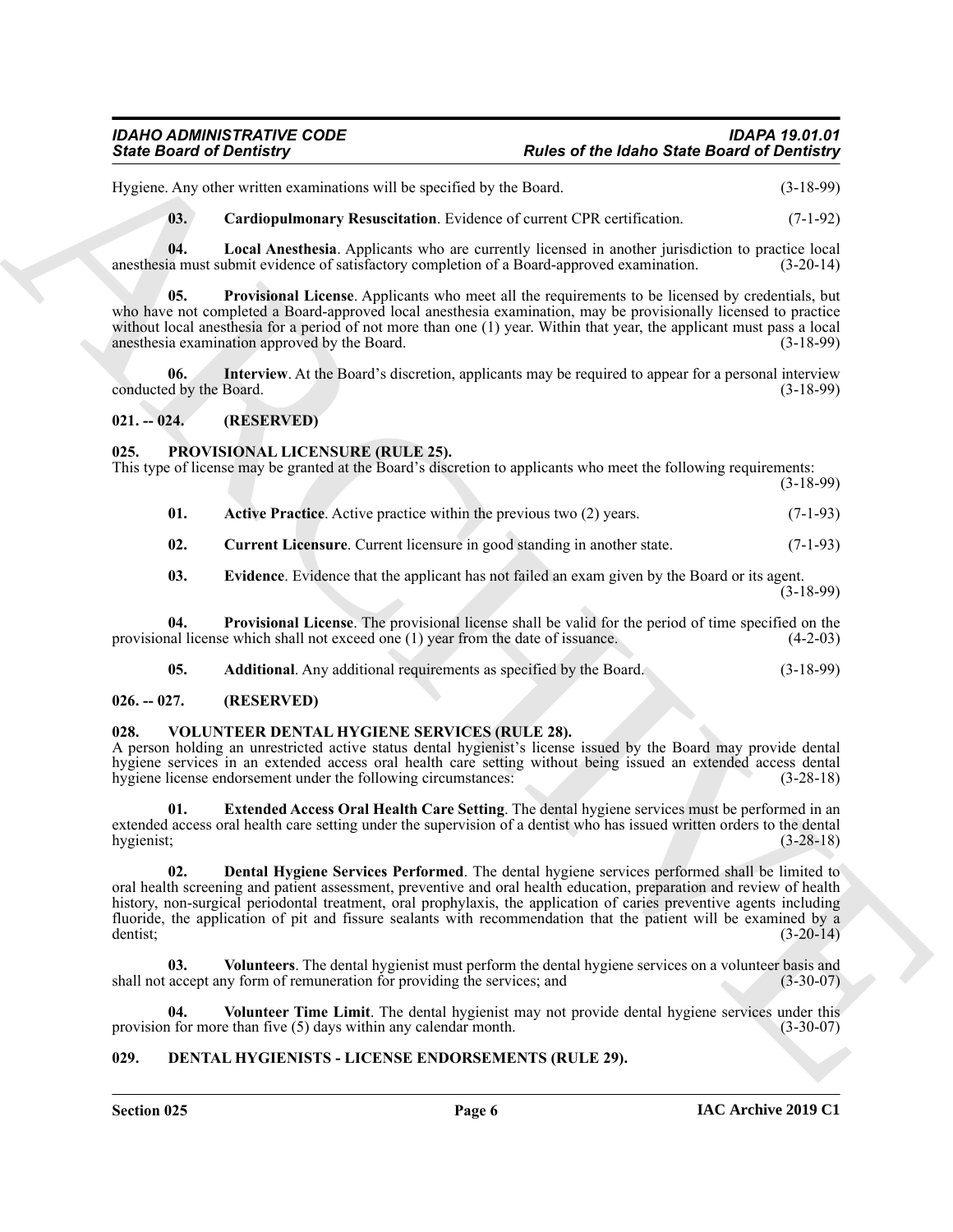# *IDAHO ADMINISTRATIVE CODE IDAPA 19.01.01*

# *State Board of Dentistry Rules of the Idaho State Board of Dentistry*

Hygiene. Any other written examinations will be specified by the Board. (3-18-99)

<span id="page-5-8"></span><span id="page-5-7"></span><span id="page-5-5"></span>**03. Cardiopulmonary Resuscitation**. Evidence of current CPR certification. (7-1-92)

**04. Local Anesthesia**. Applicants who are currently licensed in another jurisdiction to practice local anesthesia must submit evidence of satisfactory completion of a Board-approved examination. (3-20-14)

**05. Provisional License**. Applicants who meet all the requirements to be licensed by credentials, but who have not completed a Board-approved local anesthesia examination, may be provisionally licensed to practice without local anesthesia for a period of not more than one (1) year. Within that year, the applicant must pass a local anesthesia examination approved by the Board. (3-18-99)

<span id="page-5-6"></span>**06. Interview**. At the Board's discretion, applicants may be required to appear for a personal interview conducted by the Board. (3-18-99)

<span id="page-5-0"></span>**021. -- 024. (RESERVED)**

#### <span id="page-5-11"></span><span id="page-5-1"></span>**025. PROVISIONAL LICENSURE (RULE 25).**

This type of license may be granted at the Board's discretion to applicants who meet the following requirements: (3-18-99)

<span id="page-5-12"></span>**01.** Active Practice. Active practice within the previous two (2) years. (7-1-93)

<span id="page-5-14"></span>**02.** Current Licensure. Current licensure in good standing in another state.  $(7-1-93)$ 

<span id="page-5-15"></span><span id="page-5-10"></span>**03. Evidence**. Evidence that the applicant has not failed an exam given by the Board or its agent. (3-18-99)

**04. Provisional License**. The provisional license shall be valid for the period of time specified on the provisional license which shall not exceed one (1) year from the date of issuance. (4-2-03)

<span id="page-5-16"></span><span id="page-5-13"></span>**05. Additional**. Any additional requirements as specified by the Board. (3-18-99)

### <span id="page-5-2"></span>**026. -- 027. (RESERVED)**

### <span id="page-5-3"></span>**028. VOLUNTEER DENTAL HYGIENE SERVICES (RULE 28).**

A person holding an unrestricted active status dental hygienist's license issued by the Board may provide dental hygiene services in an extended access oral health care setting without being issued an extended access dental hygiene license endorsement under the following circumstances: (3-28-18)

<span id="page-5-18"></span><span id="page-5-17"></span>**01. Extended Access Oral Health Care Setting**. The dental hygiene services must be performed in an extended access oral health care setting under the supervision of a dentist who has issued written orders to the dental hygienist; (3-28-18)

Since Board of Development Contention<br>
House of the blanks of the field of Since Board of Development<br>
House, the Caroline means the specified by the blank of the field of the Caroline<br>
16. Caroline means the specified by **02. Dental Hygiene Services Performed**. The dental hygiene services performed shall be limited to oral health screening and patient assessment, preventive and oral health education, preparation and review of health history, non-surgical periodontal treatment, oral prophylaxis, the application of caries preventive agents including fluoride, the application of pit and fissure sealants with recommendation that the patient will be examined by a dentist; (3-20-14) dentist; (3-20-14)

<span id="page-5-20"></span>**03. Volunteers**. The dental hygienist must perform the dental hygiene services on a volunteer basis and shall not accept any form of remuneration for providing the services; and  $(3-30-07)$ 

<span id="page-5-19"></span>**04.** Volunteer Time Limit. The dental hygienist may not provide dental hygiene services under this 1 for more than five (5) days within any calendar month. provision for more than five  $(5)$  days within any calendar month.

### <span id="page-5-9"></span><span id="page-5-4"></span>**029. DENTAL HYGIENISTS - LICENSE ENDORSEMENTS (RULE 29).**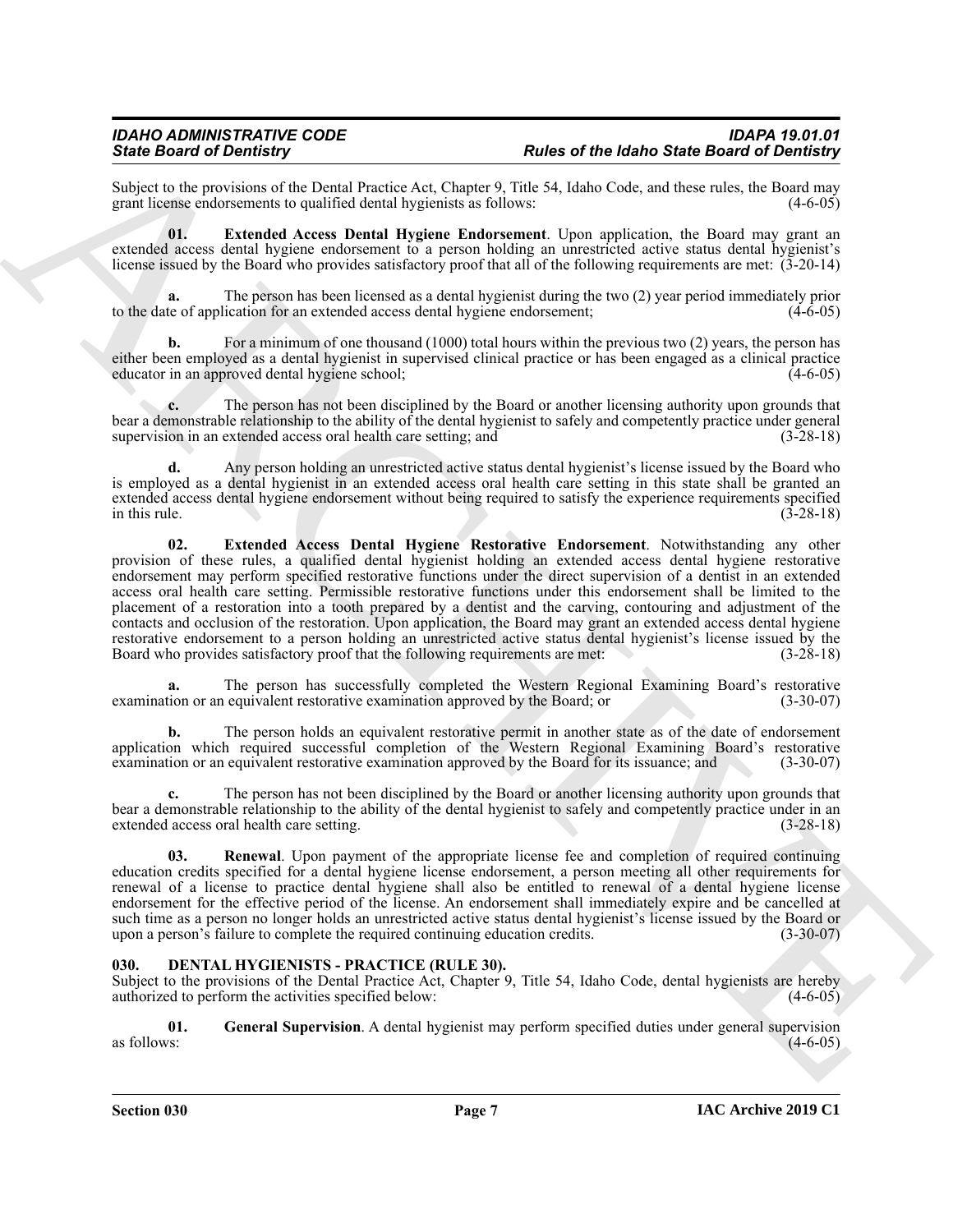Subject to the provisions of the Dental Practice Act, Chapter 9, Title 54, Idaho Code, and these rules, the Board may grant license endorsements to qualified dental hygienists as follows: (4-6-05) grant license endorsements to qualified dental hygienists as follows:

<span id="page-6-1"></span>**01. Extended Access Dental Hygiene Endorsement**. Upon application, the Board may grant an extended access dental hygiene endorsement to a person holding an unrestricted active status dental hygienist's license issued by the Board who provides satisfactory proof that all of the following requirements are met: (3-20-14)

**a.** The person has been licensed as a dental hygienist during the two (2) year period immediately prior to the date of application for an extended access dental hygiene endorsement; (4-6-05)

**b.** For a minimum of one thousand (1000) total hours within the previous two (2) years, the person has either been employed as a dental hygienist in supervised clinical practice or has been engaged as a clinical practice educator in an approved dental hygiene school;

**c.** The person has not been disciplined by the Board or another licensing authority upon grounds that bear a demonstrable relationship to the ability of the dental hygienist to safely and competently practice under general supervision in an extended access oral health care setting; and (3-28-18) supervision in an extended access oral health care setting; and

<span id="page-6-2"></span>**d.** Any person holding an unrestricted active status dental hygienist's license issued by the Board who is employed as a dental hygienist in an extended access oral health care setting in this state shall be granted an extended access dental hygiene endorsement without being required to satisfy the experience requirements specified<br>in this rule. (3-28-18) in this rule.  $(3-28-18)$ 

Since Board of Demistry. The tractional fluoristic procedure and the state Board of Demistry.<br>
Some local of Demistry and Product procedure and the state of the state of the state Board of Demistry<br>
generalized and the st **02. Extended Access Dental Hygiene Restorative Endorsement**. Notwithstanding any other provision of these rules, a qualified dental hygienist holding an extended access dental hygiene restorative endorsement may perform specified restorative functions under the direct supervision of a dentist in an extended access oral health care setting. Permissible restorative functions under this endorsement shall be limited to the placement of a restoration into a tooth prepared by a dentist and the carving, contouring and adjustment of the contacts and occlusion of the restoration. Upon application, the Board may grant an extended access dental hygiene restorative endorsement to a person holding an unrestricted active status dental hygienist's license issued by the Board who provides satisfactory proof that the following requirements are met:  $(3-28-18)$ Board who provides satisfactory proof that the following requirements are met:

**a.** The person has successfully completed the Western Regional Examining Board's restorative examination or an equivalent restorative examination approved by the Board; or (3-30-07)

**b.** The person holds an equivalent restorative permit in another state as of the date of endorsement application which required successful completion of the Western Regional Examining Board's restorative examination or an equivalent restorative examination approved by the Board for its issuance; and (3-30-07)

**c.** The person has not been disciplined by the Board or another licensing authority upon grounds that bear a demonstrable relationship to the ability of the dental hygienist to safely and competently practice under in an extended access oral health care setting. (3-28-18)

<span id="page-6-3"></span>**03. Renewal**. Upon payment of the appropriate license fee and completion of required continuing education credits specified for a dental hygiene license endorsement, a person meeting all other requirements for renewal of a license to practice dental hygiene shall also be entitled to renewal of a dental hygiene license endorsement for the effective period of the license. An endorsement shall immediately expire and be cancelled at such time as a person no longer holds an unrestricted active status dental hygienist's license issued by the Board or upon a person's failure to complete the required continuing education credits. (3-30-07)

### <span id="page-6-4"></span><span id="page-6-0"></span>**030. DENTAL HYGIENISTS - PRACTICE (RULE 30).**

Subject to the provisions of the Dental Practice Act, Chapter 9, Title 54, Idaho Code, dental hygienists are hereby authorized to perform the activities specified below: (4-6-05)

<span id="page-6-5"></span>**01.** General Supervision. A dental hygienist may perform specified duties under general supervision as follows: as follows:  $(4-6-05)$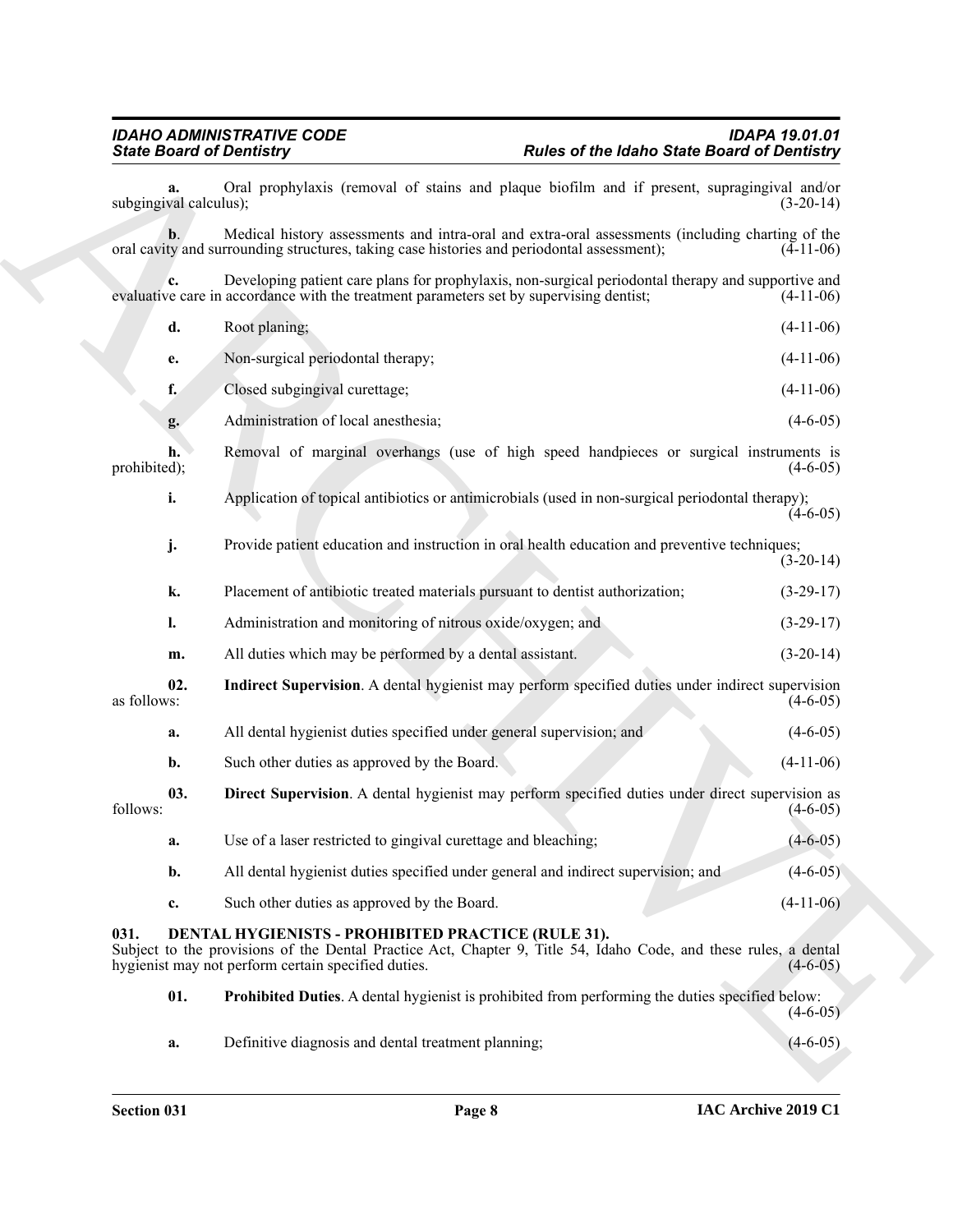<span id="page-7-4"></span><span id="page-7-3"></span><span id="page-7-2"></span><span id="page-7-1"></span><span id="page-7-0"></span>

| <b>State Board of Dentistry</b> |                                                                                                                                                                                                                               | <b>Rules of the Idaho State Board of Dentistry</b> |                |
|---------------------------------|-------------------------------------------------------------------------------------------------------------------------------------------------------------------------------------------------------------------------------|----------------------------------------------------|----------------|
| subgingival calculus);          | Oral prophylaxis (removal of stains and plaque biofilm and if present, supragingival and/or                                                                                                                                   |                                                    | $(3-20-14)$    |
| b.                              | Medical history assessments and intra-oral and extra-oral assessments (including charting of the<br>oral cavity and surrounding structures, taking case histories and periodontal assessment);                                |                                                    | $(4-11-06)$    |
| c.                              | Developing patient care plans for prophylaxis, non-surgical periodontal therapy and supportive and<br>evaluative care in accordance with the treatment parameters set by supervising dentist;                                 |                                                    | $(4-11-06)$    |
| d.                              | Root planing;                                                                                                                                                                                                                 |                                                    | $(4-11-06)$    |
| e.                              | Non-surgical periodontal therapy;                                                                                                                                                                                             |                                                    | $(4-11-06)$    |
| f.                              | Closed subgingival curettage;                                                                                                                                                                                                 |                                                    | $(4-11-06)$    |
| g.                              | Administration of local anesthesia;                                                                                                                                                                                           |                                                    | $(4-6-05)$     |
| h.<br>prohibited);              | Removal of marginal overhangs (use of high speed handpieces or surgical instruments is                                                                                                                                        |                                                    | $(4-6-05)$     |
| i.                              | Application of topical antibiotics or antimicrobials (used in non-surgical periodontal therapy);                                                                                                                              |                                                    | $(4-6-05)$     |
| j.                              | Provide patient education and instruction in oral health education and preventive techniques;                                                                                                                                 |                                                    | $(3-20-14)$    |
| k.                              | Placement of antibiotic treated materials pursuant to dentist authorization;                                                                                                                                                  |                                                    | $(3-29-17)$    |
| $\mathbf{l}$ .                  | Administration and monitoring of nitrous oxide/oxygen; and                                                                                                                                                                    |                                                    | $(3-29-17)$    |
| m.                              | All duties which may be performed by a dental assistant.                                                                                                                                                                      |                                                    | $(3-20-14)$    |
| 02.<br>as follows:              | Indirect Supervision. A dental hygienist may perform specified duties under indirect supervision                                                                                                                              |                                                    | $(4-6-05)$     |
| a.                              | All dental hygienist duties specified under general supervision; and                                                                                                                                                          |                                                    | $(4-6-05)$     |
| b.                              | Such other duties as approved by the Board.                                                                                                                                                                                   |                                                    | $(4-11-06)$    |
| 03.<br>follows:                 | Direct Supervision. A dental hygienist may perform specified duties under direct supervision as                                                                                                                               |                                                    | $(4-6-05)$     |
| a.                              | Use of a laser restricted to gingival curettage and bleaching;                                                                                                                                                                |                                                    | $(4 - 6 - 05)$ |
| b.                              | All dental hygienist duties specified under general and indirect supervision; and                                                                                                                                             |                                                    | $(4-6-05)$     |
| c.                              | Such other duties as approved by the Board.                                                                                                                                                                                   |                                                    | $(4-11-06)$    |
| 031.                            | DENTAL HYGIENISTS - PROHIBITED PRACTICE (RULE 31).<br>Subject to the provisions of the Dental Practice Act, Chapter 9, Title 54, Idaho Code, and these rules, a dental<br>hygienist may not perform certain specified duties. |                                                    | $(4-6-05)$     |
| 01.                             | <b>Prohibited Duties.</b> A dental hygienist is prohibited from performing the duties specified below:                                                                                                                        |                                                    | $(4-6-05)$     |
|                                 | Definitive diagnosis and dental treatment planning;                                                                                                                                                                           |                                                    | $(4-6-05)$     |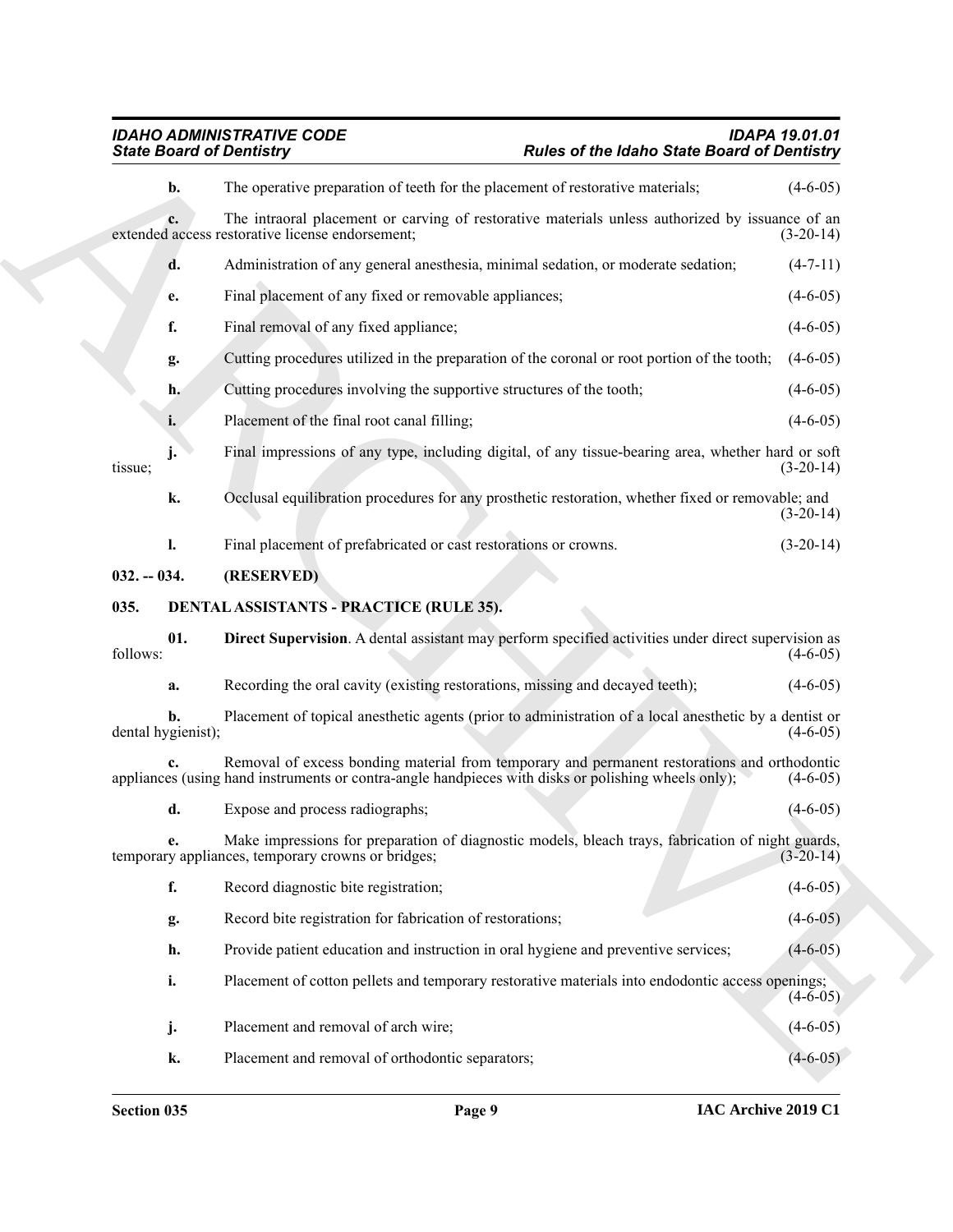## <span id="page-8-3"></span><span id="page-8-2"></span>*IDAHO ADMINISTRATIVE CODE IDAPA 19.01.01 State Board of Dentistry Rules of the Idaho State Board of Dentistry*

<span id="page-8-1"></span><span id="page-8-0"></span>

| <b>State Board of Dentistry</b> |                                                                      | Rules of the Idaho State Board of Dentistry                                                                                                                                                         |                      |
|---------------------------------|----------------------------------------------------------------------|-----------------------------------------------------------------------------------------------------------------------------------------------------------------------------------------------------|----------------------|
| b.                              |                                                                      | The operative preparation of teeth for the placement of restorative materials;                                                                                                                      | $(4-6-05)$           |
| c.                              | extended access restorative license endorsement;                     | The intraoral placement or carving of restorative materials unless authorized by issuance of an                                                                                                     | $(3-20-14)$          |
| d.                              |                                                                      | Administration of any general anesthesia, minimal sedation, or moderate sedation;                                                                                                                   | $(4-7-11)$           |
| e.                              | Final placement of any fixed or removable appliances;                |                                                                                                                                                                                                     | $(4-6-05)$           |
| f.                              | Final removal of any fixed appliance;                                |                                                                                                                                                                                                     | $(4-6-05)$           |
| g.                              |                                                                      | Cutting procedures utilized in the preparation of the coronal or root portion of the tooth;                                                                                                         | $(4-6-05)$           |
| h.                              | Cutting procedures involving the supportive structures of the tooth; |                                                                                                                                                                                                     | $(4-6-05)$           |
| i.                              | Placement of the final root canal filling;                           |                                                                                                                                                                                                     | $(4-6-05)$           |
| tissue;                         |                                                                      | Final impressions of any type, including digital, of any tissue-bearing area, whether hard or soft                                                                                                  | $(3-20-14)$          |
| k.                              |                                                                      | Occlusal equilibration procedures for any prosthetic restoration, whether fixed or removable; and                                                                                                   | $(3-20-14)$          |
| 1.                              | Final placement of prefabricated or cast restorations or crowns.     |                                                                                                                                                                                                     | $(3-20-14)$          |
| $032. - 034.$                   | (RESERVED)                                                           |                                                                                                                                                                                                     |                      |
| 035.                            | <b>DENTAL ASSISTANTS - PRACTICE (RULE 35).</b>                       |                                                                                                                                                                                                     |                      |
| 01.<br>follows:                 |                                                                      | Direct Supervision. A dental assistant may perform specified activities under direct supervision as                                                                                                 | $(4-6-05)$           |
| a.                              |                                                                      | Recording the oral cavity (existing restorations, missing and decayed teeth);                                                                                                                       | $(4-6-05)$           |
| b.<br>dental hygienist);        |                                                                      | Placement of topical anesthetic agents (prior to administration of a local anesthetic by a dentist or                                                                                               | $(4-6-05)$           |
|                                 |                                                                      | Removal of excess bonding material from temporary and permanent restorations and orthodontic<br>appliances (using hand instruments or contra-angle handpieces with disks or polishing wheels only); | $(4-6-05)$           |
| d.                              | Expose and process radiographs;                                      |                                                                                                                                                                                                     | $(4-6-05)$           |
|                                 | temporary appliances, temporary crowns or bridges;                   | Make impressions for preparation of diagnostic models, bleach trays, fabrication of night guards,                                                                                                   | $(3-20-14)$          |
| f.                              | Record diagnostic bite registration;                                 |                                                                                                                                                                                                     | $(4-6-05)$           |
| g.                              | Record bite registration for fabrication of restorations;            |                                                                                                                                                                                                     | $(4-6-05)$           |
| h.                              |                                                                      | Provide patient education and instruction in oral hygiene and preventive services;                                                                                                                  | $(4-6-05)$           |
| i.                              |                                                                      | Placement of cotton pellets and temporary restorative materials into endodontic access openings;                                                                                                    | $(4 - \bar{6} - 05)$ |
| j.                              | Placement and removal of arch wire;                                  |                                                                                                                                                                                                     | $(4-6-05)$           |
|                                 | Placement and removal of orthodontic separators;<br>k.               |                                                                                                                                                                                                     | $(4-6-05)$           |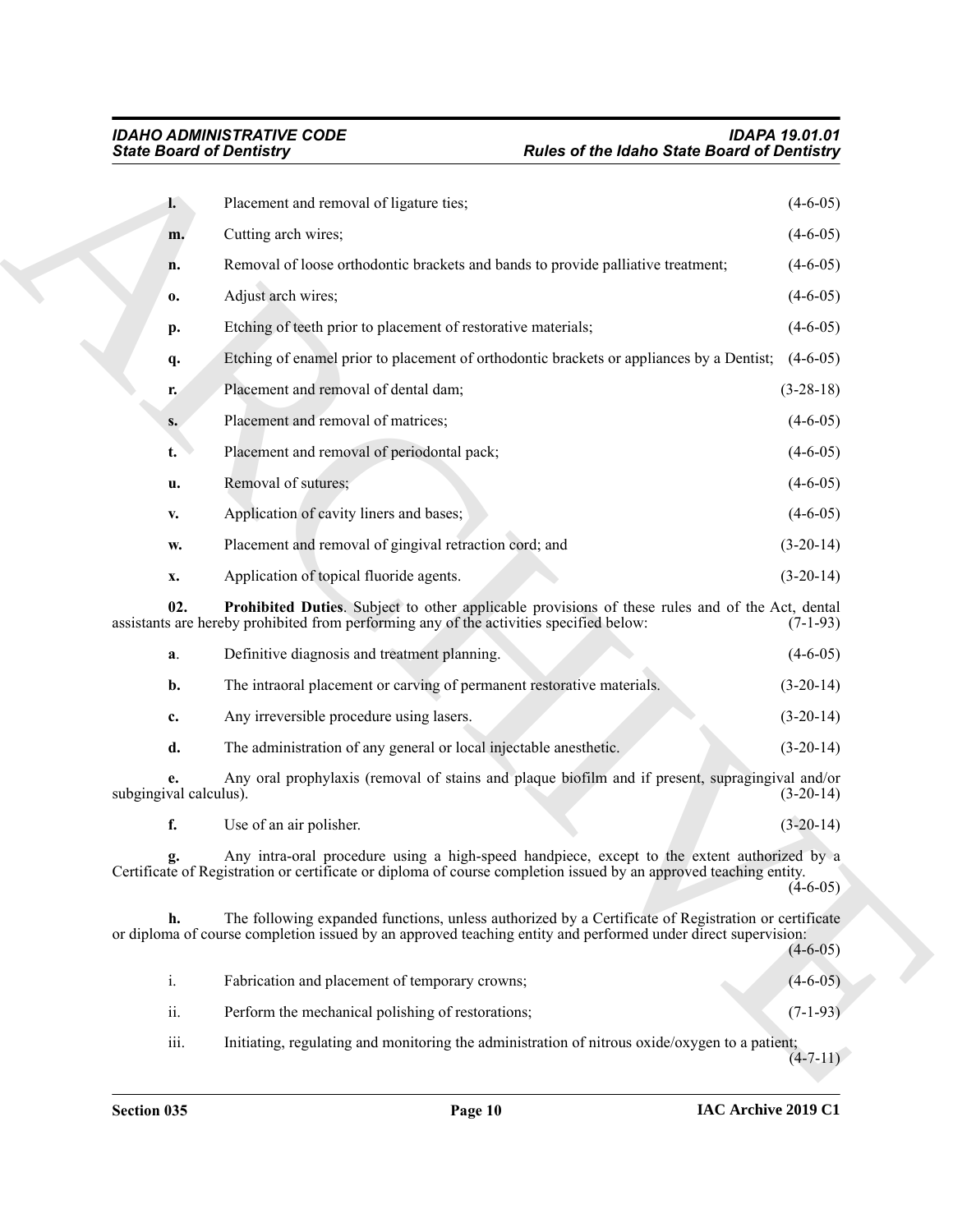<span id="page-9-0"></span>

| Placement and removal of ligature ties;<br>I.<br>Cutting arch wires;<br>m.                                                                                                                                                 | $(4-6-05)$  |
|----------------------------------------------------------------------------------------------------------------------------------------------------------------------------------------------------------------------------|-------------|
|                                                                                                                                                                                                                            |             |
|                                                                                                                                                                                                                            | $(4-6-05)$  |
| Removal of loose orthodontic brackets and bands to provide palliative treatment;<br>n.                                                                                                                                     | $(4-6-05)$  |
| Adjust arch wires;<br>0.                                                                                                                                                                                                   | $(4-6-05)$  |
| Etching of teeth prior to placement of restorative materials;<br>p.                                                                                                                                                        | $(4-6-05)$  |
| Etching of enamel prior to placement of orthodontic brackets or appliances by a Dentist;<br>q.                                                                                                                             | $(4-6-05)$  |
| Placement and removal of dental dam;<br>r.                                                                                                                                                                                 | $(3-28-18)$ |
| Placement and removal of matrices;<br>S.                                                                                                                                                                                   | $(4-6-05)$  |
| Placement and removal of periodontal pack;<br>t.                                                                                                                                                                           | $(4-6-05)$  |
| Removal of sutures;<br>u.                                                                                                                                                                                                  | $(4-6-05)$  |
| Application of cavity liners and bases;<br>V.                                                                                                                                                                              | $(4-6-05)$  |
| Placement and removal of gingival retraction cord; and<br>w.                                                                                                                                                               | $(3-20-14)$ |
| Application of topical fluoride agents.<br>x.                                                                                                                                                                              | $(3-20-14)$ |
| 02.<br>Prohibited Duties. Subject to other applicable provisions of these rules and of the Act, dental<br>assistants are hereby prohibited from performing any of the activities specified below:                          | $(7-1-93)$  |
| Definitive diagnosis and treatment planning.<br>a.                                                                                                                                                                         | $(4-6-05)$  |
| The intraoral placement or carving of permanent restorative materials.<br>b.                                                                                                                                               | $(3-20-14)$ |
| Any irreversible procedure using lasers.<br>c.                                                                                                                                                                             | $(3-20-14)$ |
| The administration of any general or local injectable anesthetic.<br>d.                                                                                                                                                    | $(3-20-14)$ |
| Any oral prophylaxis (removal of stains and plaque biofilm and if present, supragingival and/or<br>е.<br>subgingival calculus).                                                                                            | $(3-20-14)$ |
| f.<br>Use of an air polisher.                                                                                                                                                                                              | $(3-20-14)$ |
| Any intra-oral procedure using a high-speed handpiece, except to the extent authorized by a<br>g.<br>Certificate of Registration or certificate or diploma of course completion issued by an approved teaching entity.     | $(4-6-05)$  |
| The following expanded functions, unless authorized by a Certificate of Registration or certificate<br>h.<br>or diploma of course completion issued by an approved teaching entity and performed under direct supervision: | $(4-6-05)$  |
| i.<br>Fabrication and placement of temporary crowns;                                                                                                                                                                       | $(4-6-05)$  |
| ii.<br>Perform the mechanical polishing of restorations;                                                                                                                                                                   | $(7-1-93)$  |
| iii.<br>Initiating, regulating and monitoring the administration of nitrous oxide/oxygen to a patient;                                                                                                                     | $(4-7-11)$  |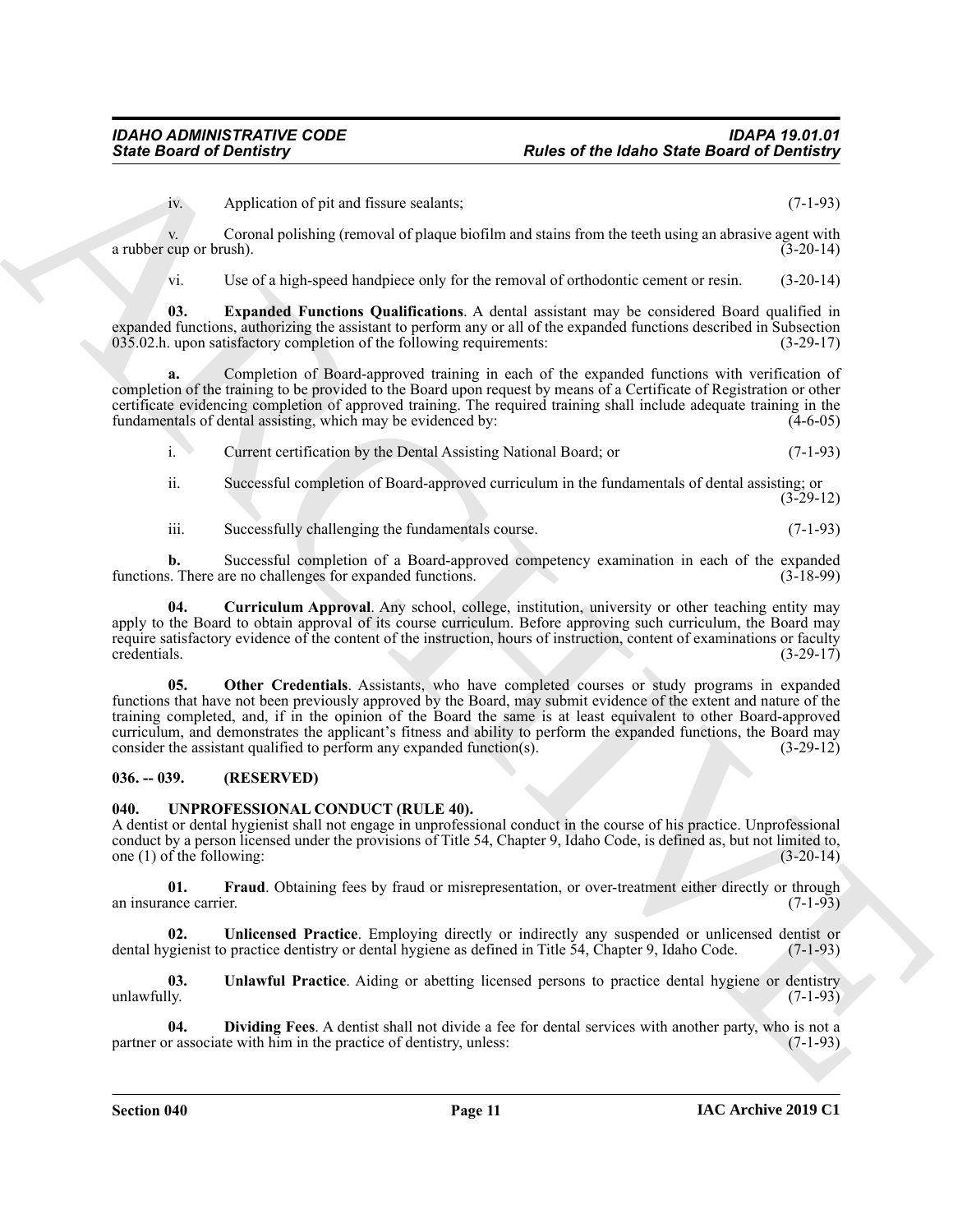iv. Application of pit and fissure sealants; (7-1-93)

v. Coronal polishing (removal of plaque biofilm and stains from the teeth using an abrasive agent with a rubber cup or brush). (3-20-14)

<span id="page-10-3"></span>vi. Use of a high-speed handpiece only for the removal of orthodontic cement or resin. (3-20-14)

**03. Expanded Functions Qualifications**. A dental assistant may be considered Board qualified in expanded functions, authorizing the assistant to perform any or all of the expanded functions described in Subsection 035.02.h. upon satisfactory completion of the following requirements: (3-29-17)

**a.** Completion of Board-approved training in each of the expanded functions with verification of completion of the training to be provided to the Board upon request by means of a Certificate of Registration or other certificate evidencing completion of approved training. The required training shall include adequate training in the fundamentals of dental assisting, which may be evidenced by:  $(4-6-05)$ 

i. Current certification by the Dental Assisting National Board; or (7-1-93)

ii. Successful completion of Board-approved curriculum in the fundamentals of dental assisting; or (3-29-12)

<span id="page-10-2"></span>iii. Successfully challenging the fundamentals course. (7-1-93)

**b.** Successful completion of a Board-approved competency examination in each of the expanded s. There are no challenges for expanded functions. (3-18-99) functions. There are no challenges for expanded functions.

<span id="page-10-4"></span>**04. Curriculum Approval**. Any school, college, institution, university or other teaching entity may apply to the Board to obtain approval of its course curriculum. Before approving such curriculum, the Board may require satisfactory evidence of the content of the instruction, hours of instruction, content of examinations or faculty credentials. (3-29-17) credentials. (3-29-17)

Finite Board of Dentricity<br>
Archives of the blanch Sinte Board of Dentricity<br>
Archives of the district Since Board of Dentricity<br>
Action Consults with an all the strategies because the distribution is a method of the stra **05. Other Credentials**. Assistants, who have completed courses or study programs in expanded functions that have not been previously approved by the Board, may submit evidence of the extent and nature of the training completed, and, if in the opinion of the Board the same is at least equivalent to other Board-approved curriculum, and demonstrates the applicant's fitness and ability to perform the expanded functions, the Board may consider the assistant qualified to perform any expanded function(s). (3-29-12)

### <span id="page-10-0"></span>**036. -- 039. (RESERVED)**

### <span id="page-10-6"></span><span id="page-10-1"></span>**040. UNPROFESSIONAL CONDUCT (RULE 40).**

A dentist or dental hygienist shall not engage in unprofessional conduct in the course of his practice. Unprofessional conduct by a person licensed under the provisions of Title 54, Chapter 9, Idaho Code, is defined as, but not limited to, one (1) of the following: (3-20-14) one  $(1)$  of the following:

<span id="page-10-8"></span>**01. Fraud**. Obtaining fees by fraud or misrepresentation, or over-treatment either directly or through an insurance carrier. (7-1-93)

<span id="page-10-9"></span>**02.** Unlicensed Practice. Employing directly or indirectly any suspended or unlicensed dentist or gienist to practice dentistry or dental hygiene as defined in Title 54, Chapter 9, Idaho Code. (7-1-93) dental hygienist to practice dentistry or dental hygiene as defined in Title 54, Chapter 9, Idaho Code.

<span id="page-10-5"></span>**03.** Unlawful Practice. Aiding or abetting licensed persons to practice dental hygiene or dentistry unlawfully. (7-1-93)  $\text{unlawfully.}$  (7-1-93)

<span id="page-10-7"></span>**04. Dividing Fees**. A dentist shall not divide a fee for dental services with another party, who is not a partner or associate with him in the practice of dentistry, unless: (7-1-93)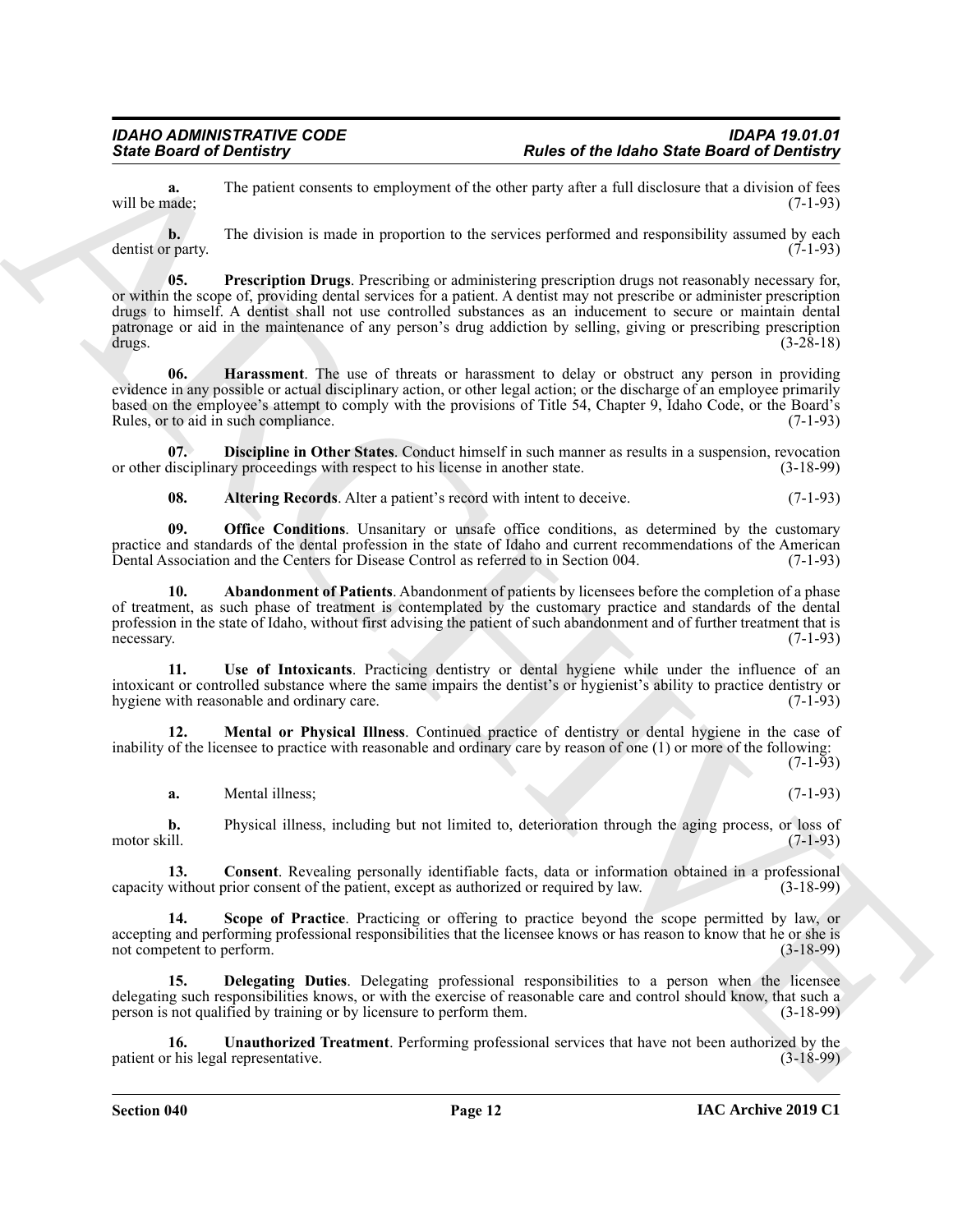**a.** The patient consents to employment of the other party after a full disclosure that a division of fees ande: will be made;

<span id="page-11-8"></span>**b.** The division is made in proportion to the services performed and responsibility assumed by each dentist or party. (7-1-93)

Since Board of Development Constant of the Unit of the Unit of the Unit of the Board of Development<br>
and the properties of the properties of the Unit of the Unit of the Unit of the Unit of the Unit of the Unit of the Unit **05. Prescription Drugs**. Prescribing or administering prescription drugs not reasonably necessary for, or within the scope of, providing dental services for a patient. A dentist may not prescribe or administer prescription drugs to himself. A dentist shall not use controlled substances as an inducement to secure or maintain dental patronage or aid in the maintenance of any person's drug addiction by selling, giving or prescribing prescription drugs. (3-28-18)

<span id="page-11-5"></span>**06. Harassment**. The use of threats or harassment to delay or obstruct any person in providing evidence in any possible or actual disciplinary action, or other legal action; or the discharge of an employee primarily based on the employee's attempt to comply with the provisions of Title 54, Chapter 9, Idaho Code, or the Board's Rules, or to aid in such compliance. (7-1-93)

**07. Discipline in Other States**. Conduct himself in such manner as results in a suspension, revocation or other disciplinary proceedings with respect to his license in another state. (3-18-99)

<span id="page-11-7"></span><span id="page-11-4"></span><span id="page-11-1"></span><span id="page-11-0"></span>**08.** Altering Records. Alter a patient's record with intent to deceive. (7-1-93)

**09. Office Conditions**. Unsanitary or unsafe office conditions, as determined by the customary practice and standards of the dental profession in the state of Idaho and current recommendations of the American Dental Association and the Centers for Disease Control as referred to in Section 004. (7-1-93)

**10. Abandonment of Patients**. Abandonment of patients by licensees before the completion of a phase of treatment, as such phase of treatment is contemplated by the customary practice and standards of the dental profession in the state of Idaho, without first advising the patient of such abandonment and of further treatment that is necessary. (7-1-93)

<span id="page-11-11"></span>**11. Use of Intoxicants**. Practicing dentistry or dental hygiene while under the influence of an intoxicant or controlled substance where the same impairs the dentist's or hygienist's ability to practice dentistry or hygiene with reasonable and ordinary care. (7-1-93)

**12. Mental or Physical Illness**. Continued practice of dentistry or dental hygiene in the case of inability of the licensee to practice with reasonable and ordinary care by reason of one (1) or more of the following:

(7-1-93)

<span id="page-11-6"></span><span id="page-11-2"></span>**a.** Mental illness; (7-1-93)

**b.** Physical illness, including but not limited to, deterioration through the aging process, or loss of motor skill.  $(7-1-93)$ 

**13. Consent**. Revealing personally identifiable facts, data or information obtained in a professional without prior consent of the patient, except as authorized or required by law. (3-18-99) capacity without prior consent of the patient, except as authorized or required by law.

<span id="page-11-9"></span>**Scope of Practice**. Practicing or offering to practice beyond the scope permitted by law, or accepting and performing professional responsibilities that the licensee knows or has reason to know that he or she is<br>
(3-18-99) not competent to perform.

<span id="page-11-3"></span>**15. Delegating Duties**. Delegating professional responsibilities to a person when the licensee delegating such responsibilities knows, or with the exercise of reasonable care and control should know, that such a person is not qualified by training or by licensure to perform them. (3-18-99)

<span id="page-11-10"></span>**16. Unauthorized Treatment**. Performing professional services that have not been authorized by the patient or his legal representative. (3-18-99)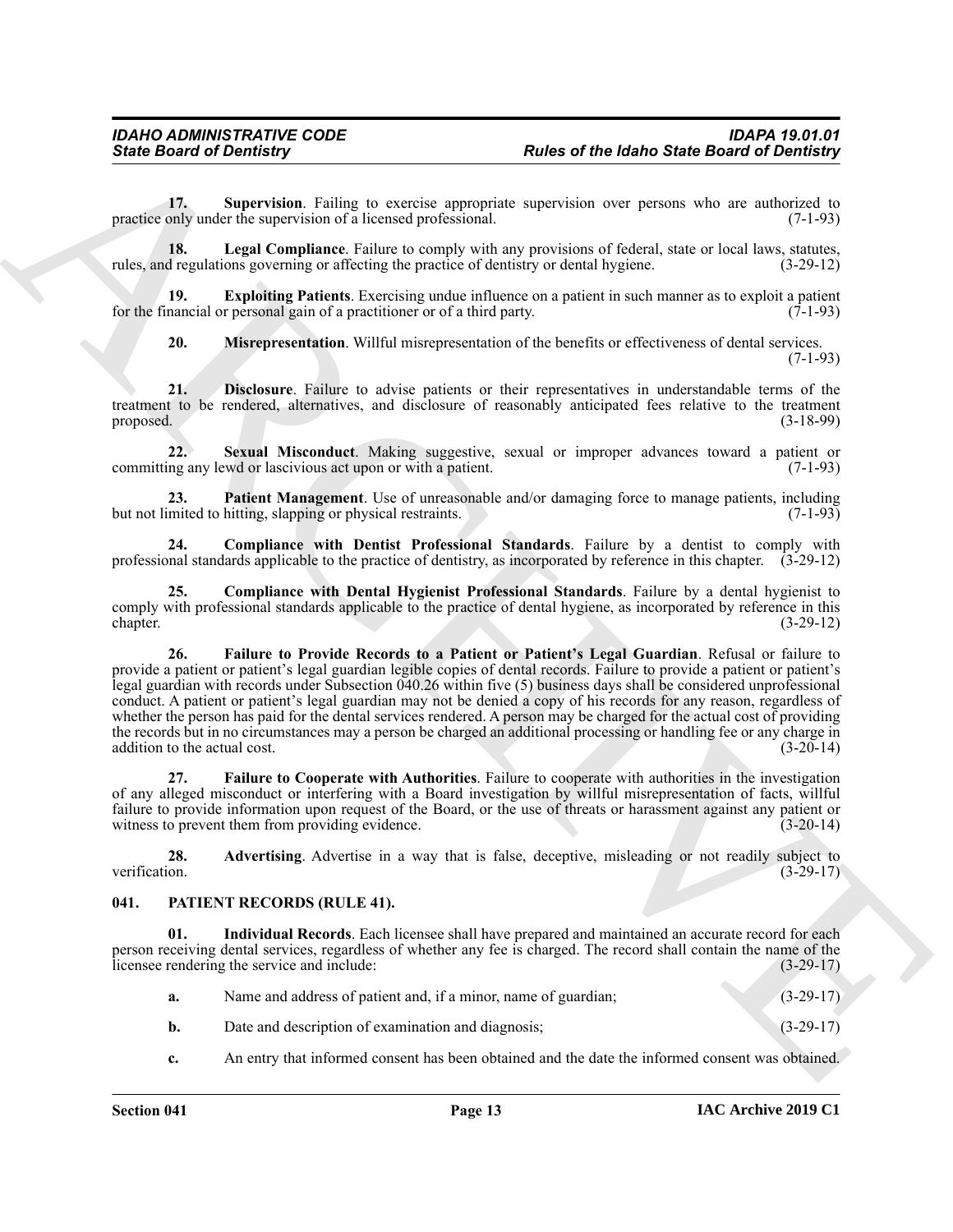<span id="page-12-14"></span>**17. Supervision**. Failing to exercise appropriate supervision over persons who are authorized to practice only under the supervision of a licensed professional. (7-1-93)

<span id="page-12-10"></span>**18.** Legal Compliance. Failure to comply with any provisions of federal, state or local laws, statutes, rules, and regulations governing or affecting the practice of dentistry or dental hygiene. (3-29-12)

**19. Exploiting Patients**. Exercising undue influence on a patient in such manner as to exploit a patient for the financial or personal gain of a practitioner or of a third party. (7-1-93)

<span id="page-12-13"></span><span id="page-12-11"></span><span id="page-12-7"></span><span id="page-12-6"></span>**20. Misrepresentation**. Willful misrepresentation of the benefits or effectiveness of dental services. (7-1-93)

**21. Disclosure**. Failure to advise patients or their representatives in understandable terms of the treatment to be rendered, alternatives, and disclosure of reasonably anticipated fees relative to the treatment proposed. (3-18-99)

**22. Sexual Misconduct**. Making suggestive, sexual or improper advances toward a patient or committing any lewd or lascivious act upon or with a patient. (7-1-93)

<span id="page-12-12"></span>23. **Patient Management**. Use of unreasonable and/or damaging force to manage patients, including mited to hitting, slapping or physical restraints. (7-1-93) but not limited to hitting, slapping or physical restraints.

<span id="page-12-5"></span>**24. Compliance with Dentist Professional Standards**. Failure by a dentist to comply with professional standards applicable to the practice of dentistry, as incorporated by reference in this chapter. (3-29-12)

<span id="page-12-9"></span><span id="page-12-4"></span>**25. Compliance with Dental Hygienist Professional Standards**. Failure by a dental hygienist to comply with professional standards applicable to the practice of dental hygiene, as incorporated by reference in this chapter. (3-29-12) chapter. (3-29-12)

Finite Board of Development, The same of the finite state Board of Development<br>
The same of the same of the same opposite experiment over process on the same of the same of the same of the same of the same of the same of **26. Failure to Provide Records to a Patient or Patient's Legal Guardian**. Refusal or failure to provide a patient or patient's legal guardian legible copies of dental records. Failure to provide a patient or patient's legal guardian with records under Subsection 040.26 within five (5) business days shall be considered unprofessional conduct. A patient or patient's legal guardian may not be denied a copy of his records for any reason, regardless of whether the person has paid for the dental services rendered. A person may be charged for the actual cost of providing the records but in no circumstances may a person be charged an additional processing or handling fee or any charge in addition to the actual cost. (3-20-14) addition to the actual cost.

<span id="page-12-8"></span>**27. Failure to Cooperate with Authorities**. Failure to cooperate with authorities in the investigation of any alleged misconduct or interfering with a Board investigation by willful misrepresentation of facts, willful failure to provide information upon request of the Board, or the use of threats or harassment against any patient or witness to prevent them from providing evidence. (3-20-14)

<span id="page-12-3"></span>**28. Advertising**. Advertise in a way that is false, deceptive, misleading or not readily subject to verification. (3-29-17)

### <span id="page-12-1"></span><span id="page-12-0"></span>**041. PATIENT RECORDS (RULE 41).**

**01. Individual Records**. Each licensee shall have prepared and maintained an accurate record for each person receiving dental services, regardless of whether any fee is charged. The record shall contain the name of the licensee rendering the service and include: (3-29-17)

<span id="page-12-2"></span>

| a. | Name and address of patient and, if a minor, name of guardian; | $(3-29-17)$ |
|----|----------------------------------------------------------------|-------------|
| b. | Date and description of examination and diagnosis;             | $(3-29-17)$ |

**c.** An entry that informed consent has been obtained and the date the informed consent was obtained.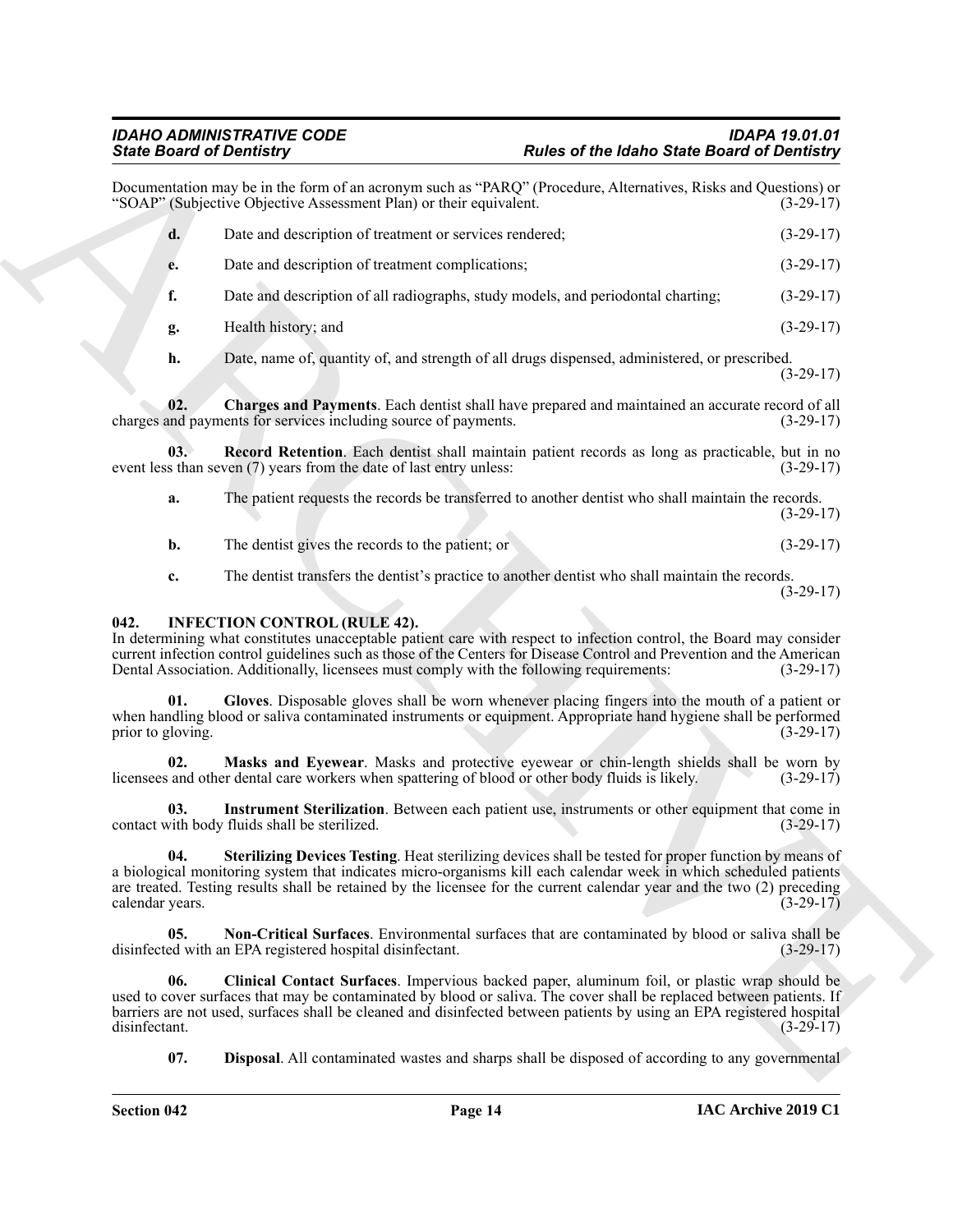|                          | <b>State Board of Dentistry</b>                                                                                                 | <b>Rules of the Idaho State Board of Dentistry</b>                                                                                                                                                                                                                                                                                                   |             |
|--------------------------|---------------------------------------------------------------------------------------------------------------------------------|------------------------------------------------------------------------------------------------------------------------------------------------------------------------------------------------------------------------------------------------------------------------------------------------------------------------------------------------------|-------------|
|                          | "SOAP" (Subjective Objective Assessment Plan) or their equivalent.                                                              | Documentation may be in the form of an acronym such as "PARQ" (Procedure, Alternatives, Risks and Questions) or                                                                                                                                                                                                                                      | $(3-29-17)$ |
| d.                       | Date and description of treatment or services rendered;                                                                         |                                                                                                                                                                                                                                                                                                                                                      | $(3-29-17)$ |
| e.                       | Date and description of treatment complications;                                                                                |                                                                                                                                                                                                                                                                                                                                                      | $(3-29-17)$ |
| f.                       |                                                                                                                                 | Date and description of all radiographs, study models, and periodontal charting;                                                                                                                                                                                                                                                                     | $(3-29-17)$ |
| g.                       | Health history; and                                                                                                             |                                                                                                                                                                                                                                                                                                                                                      | $(3-29-17)$ |
| h.                       |                                                                                                                                 | Date, name of, quantity of, and strength of all drugs dispensed, administered, or prescribed.                                                                                                                                                                                                                                                        | $(3-29-17)$ |
| 02.                      | charges and payments for services including source of payments.                                                                 | Charges and Payments. Each dentist shall have prepared and maintained an accurate record of all                                                                                                                                                                                                                                                      | $(3-29-17)$ |
| 03.                      | event less than seven $(7)$ years from the date of last entry unless:                                                           | Record Retention. Each dentist shall maintain patient records as long as practicable, but in no                                                                                                                                                                                                                                                      | $(3-29-17)$ |
| a.                       |                                                                                                                                 | The patient requests the records be transferred to another dentist who shall maintain the records.                                                                                                                                                                                                                                                   | $(3-29-17)$ |
| b.                       | The dentist gives the records to the patient; or                                                                                |                                                                                                                                                                                                                                                                                                                                                      | $(3-29-17)$ |
| c.                       |                                                                                                                                 | The dentist transfers the dentist's practice to another dentist who shall maintain the records.                                                                                                                                                                                                                                                      | $(3-29-17)$ |
| 042.                     | <b>INFECTION CONTROL (RULE 42).</b><br>Dental Association. Additionally, licensees must comply with the following requirements: | In determining what constitutes unacceptable patient care with respect to infection control, the Board may consider<br>current infection control guidelines such as those of the Centers for Disease Control and Prevention and the American                                                                                                         | $(3-29-17)$ |
| 01.<br>prior to gloving. |                                                                                                                                 | Gloves. Disposable gloves shall be worn whenever placing fingers into the mouth of a patient or<br>when handling blood or saliva contaminated instruments or equipment. Appropriate hand hygiene shall be performed                                                                                                                                  | $(3-29-17)$ |
| 02.                      | licensees and other dental care workers when spattering of blood or other body fluids is likely.                                | Masks and Eyewear. Masks and protective eyewear or chin-length shields shall be worn by                                                                                                                                                                                                                                                              | $(3-29-17)$ |
| 03.                      | contact with body fluids shall be sterilized.                                                                                   | Instrument Sterilization. Between each patient use, instruments or other equipment that come in                                                                                                                                                                                                                                                      | $(3-29-17)$ |
| 04.<br>calendar years.   |                                                                                                                                 | Sterilizing Devices Testing. Heat sterilizing devices shall be tested for proper function by means of<br>a biological monitoring system that indicates micro-organisms kill each calendar week in which scheduled patients<br>are treated. Testing results shall be retained by the licensee for the current calendar year and the two (2) preceding | $(3-29-17)$ |
| 05.                      | disinfected with an EPA registered hospital disinfectant.                                                                       | Non-Critical Surfaces. Environmental surfaces that are contaminated by blood or saliva shall be                                                                                                                                                                                                                                                      | $(3-29-17)$ |
| 06.<br>disinfectant.     |                                                                                                                                 | Clinical Contact Surfaces. Impervious backed paper, aluminum foil, or plastic wrap should be<br>used to cover surfaces that may be contaminated by blood or saliva. The cover shall be replaced between patients. If<br>barriers are not used, surfaces shall be cleaned and disinfected between patients by using an EPA registered hospital        | $(3-29-17)$ |
| 07.                      |                                                                                                                                 | <b>Disposal</b> . All contaminated wastes and sharps shall be disposed of according to any governmental                                                                                                                                                                                                                                              |             |

#### <span id="page-13-10"></span><span id="page-13-9"></span><span id="page-13-8"></span><span id="page-13-7"></span><span id="page-13-6"></span><span id="page-13-5"></span><span id="page-13-4"></span><span id="page-13-3"></span><span id="page-13-2"></span><span id="page-13-1"></span><span id="page-13-0"></span>**042. INFECTION CONTROL (RULE 42).**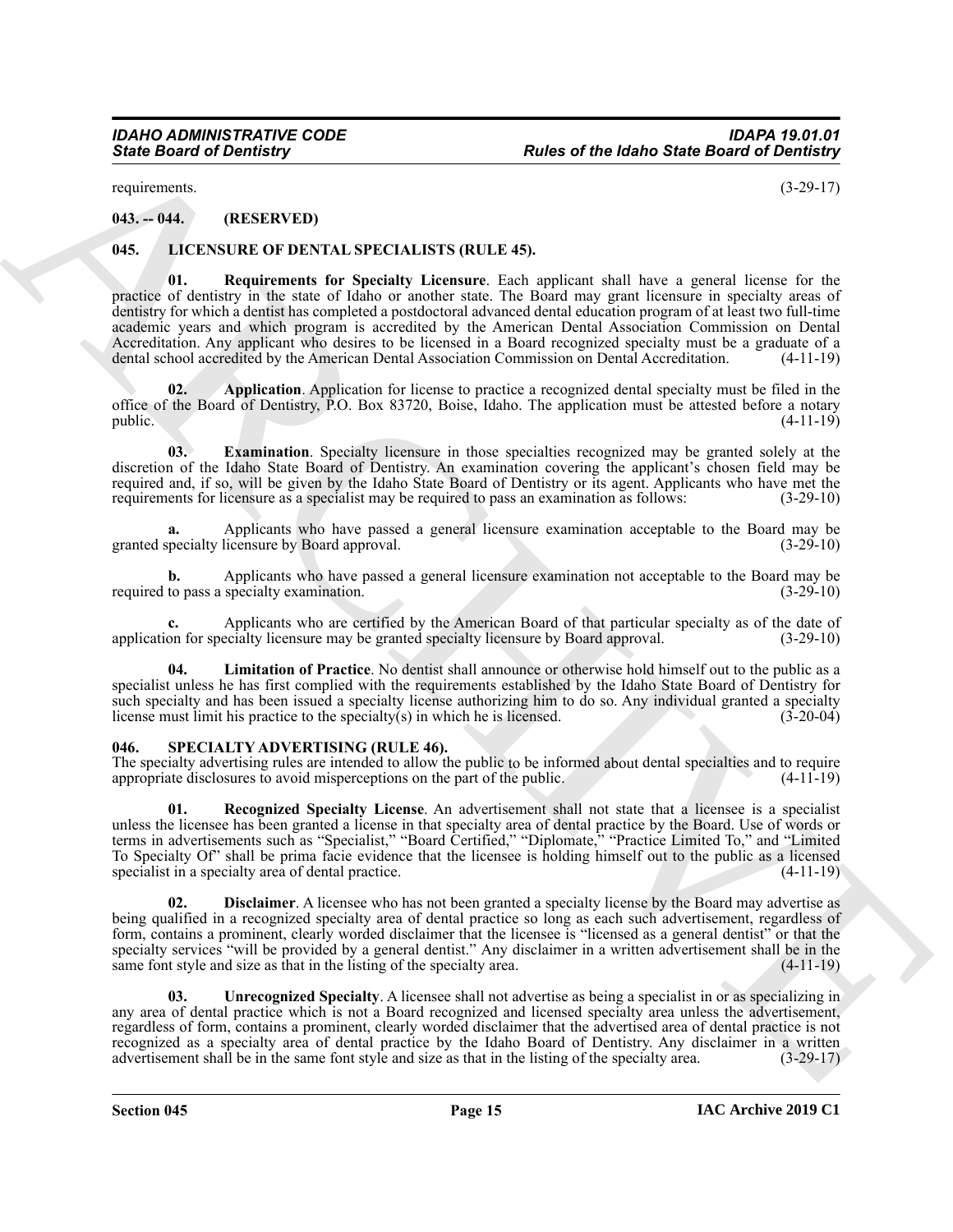requirements. (3-29-17)

### <span id="page-14-0"></span>**043. -- 044. (RESERVED)**

#### <span id="page-14-7"></span><span id="page-14-3"></span><span id="page-14-1"></span>**045. LICENSURE OF DENTAL SPECIALISTS (RULE 45).**

From the state of the fidency of the fidence of the fidence Board of Derivative<br>
ARCHIVES FROM THE SURVEY CONTROL IS SURVEY AND THE SURVEY OF THE SURVEY OF THE SURVEY OF THE SURVEY OF THE SURVEY OF THE SURVEY OF THE SURVE **01. Requirements for Specialty Licensure**. Each applicant shall have a general license for the practice of dentistry in the state of Idaho or another state. The Board may grant licensure in specialty areas of dentistry for which a dentist has completed a postdoctoral advanced dental education program of at least two full-time academic years and which program is accredited by the American Dental Association Commission on Dental Accreditation. Any applicant who desires to be licensed in a Board recognized specialty must be a graduate of a dental school accredited by the American Dental Association Commission on Dental Accreditation. (4-11-19)

<span id="page-14-4"></span>**02. Application**. Application for license to practice a recognized dental specialty must be filed in the office of the Board of Dentistry, P.O. Box 83720, Boise, Idaho. The application must be attested before a notary public.  $(4-11-19)$ 

<span id="page-14-5"></span>**03. Examination**. Specialty licensure in those specialties recognized may be granted solely at the discretion of the Idaho State Board of Dentistry. An examination covering the applicant's chosen field may be required and, if so, will be given by the Idaho State Board of Dentistry or its agent. Applicants who have met the requirements for licensure as a specialist may be required to pass an examination as follows: (3-29-10)

**a.** Applicants who have passed a general licensure examination acceptable to the Board may be granted specialty licensure by Board approval. (3-29-10)

**b.** Applicants who have passed a general licensure examination not acceptable to the Board may be required to pass a specialty examination. (3-29-10)

**c.** Applicants who are certified by the American Board of that particular specialty as of the date of application for specialty licensure may be granted specialty licensure by Board approval. (3-29-10)

<span id="page-14-6"></span>**04. Limitation of Practice**. No dentist shall announce or otherwise hold himself out to the public as a specialist unless he has first complied with the requirements established by the Idaho State Board of Dentistry for such specialty and has been issued a specialty license authorizing him to do so. Any individual granted a specialty license must limit his practice to the specialty(s) in which he is licensed. (3-20-04) license must limit his practice to the specialty $(s)$  in which he is licensed.

#### <span id="page-14-8"></span><span id="page-14-2"></span>**046. SPECIALTY ADVERTISING (RULE 46).**

The specialty advertising rules are intended to allow the public to be informed about dental specialties and to require appropriate disclosures to avoid misperceptions on the part of the public. (4-11-19)

<span id="page-14-10"></span>**01. Recognized Specialty License**. An advertisement shall not state that a licensee is a specialist unless the licensee has been granted a license in that specialty area of dental practice by the Board. Use of words or terms in advertisements such as "Specialist," "Board Certified," "Diplomate," "Practice Limited To," and "Limited To Specialty Of" shall be prima facie evidence that the licensee is holding himself out to the public as a licensed specialist in a specialty area of dental practice. (4-11-19)

<span id="page-14-9"></span>**Disclaimer**. A licensee who has not been granted a specialty license by the Board may advertise as being qualified in a recognized specialty area of dental practice so long as each such advertisement, regardless of form, contains a prominent, clearly worded disclaimer that the licensee is "licensed as a general dentist" or that the specialty services "will be provided by a general dentist." Any disclaimer in a written advertisement shall be in the same font style and size as that in the listing of the specialty area. (4-11-19)

<span id="page-14-11"></span>**03.** Unrecognized Specialty. A licensee shall not advertise as being a specialist in or as specializing in any area of dental practice which is not a Board recognized and licensed specialty area unless the advertisement, regardless of form, contains a prominent, clearly worded disclaimer that the advertised area of dental practice is not recognized as a specialty area of dental practice by the Idaho Board of Dentistry. Any disclaimer in a written advertisement shall be in the same font style and size as that in the listing of the specialty area. (3-29-17)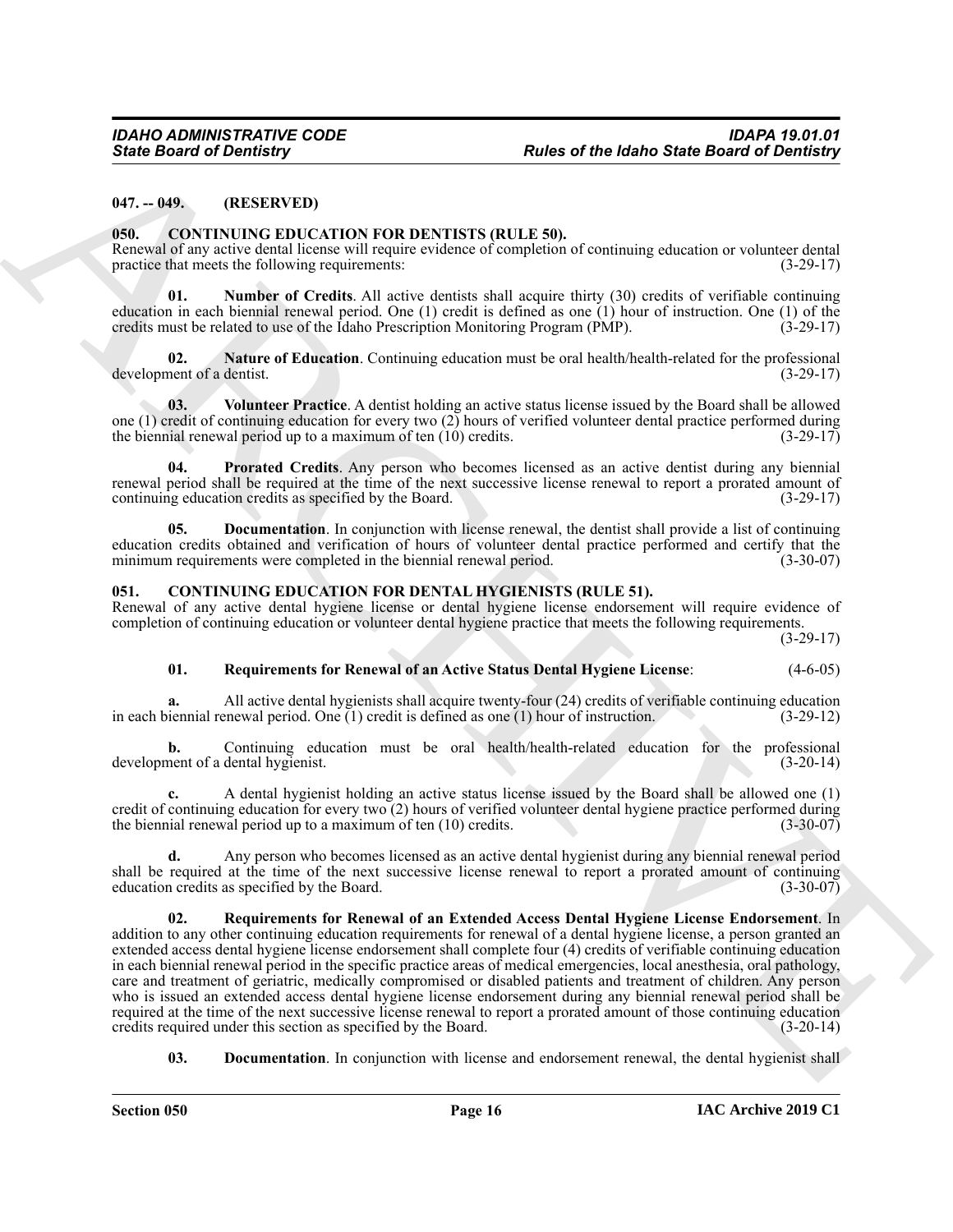#### <span id="page-15-0"></span>**047. -- 049. (RESERVED)**

#### <span id="page-15-7"></span><span id="page-15-1"></span>**050. CONTINUING EDUCATION FOR DENTISTS (RULE 50).**

Renewal of any active dental license will require evidence of completion of continuing education or volunteer dental practice that meets the following requirements: (3-29-17)

<span id="page-15-10"></span>**01. Number of Credits**. All active dentists shall acquire thirty (30) credits of verifiable continuing education in each biennial renewal period. One (1) credit is defined as one (1) hour of instruction. One (1) of the credits must be related to use of the Idaho Prescription Monitoring Program (PMP). (3-29-17)

<span id="page-15-9"></span>**02.** Nature of Education. Continuing education must be oral health/health-related for the professional nent of a dentist. (3-29-17) development of a dentist.

<span id="page-15-12"></span>**03. Volunteer Practice**. A dentist holding an active status license issued by the Board shall be allowed one (1) credit of continuing education for every two (2) hours of verified volunteer dental practice performed during<br>the biennial renewal period up to a maximum of ten (10) credits.  $(3-29-17)$ the biennial renewal period up to a maximum of ten  $(10)$  credits.

<span id="page-15-11"></span>**04. Prorated Credits**. Any person who becomes licensed as an active dentist during any biennial renewal period shall be required at the time of the next successive license renewal to report a prorated amount of continuing education credits as specified by the Board. (3-29-17)

<span id="page-15-8"></span>**05. Documentation**. In conjunction with license renewal, the dentist shall provide a list of continuing education credits obtained and verification of hours of volunteer dental practice performed and certify that the minimum requirements were completed in the biennial renewal period. (3-30-07)

#### <span id="page-15-3"></span><span id="page-15-2"></span>**051. CONTINUING EDUCATION FOR DENTAL HYGIENISTS (RULE 51).**

Renewal of any active dental hygiene license or dental hygiene license endorsement will require evidence of completion of continuing education or volunteer dental hygiene practice that meets the following requirements.

(3-29-17)

#### <span id="page-15-5"></span>**01. Requirements for Renewal of an Active Status Dental Hygiene License**: (4-6-05)

All active dental hygienists shall acquire twenty-four (24) credits of verifiable continuing education enewal period. One (1) credit is defined as one (1) hour of instruction. (3-29-12) in each biennial renewal period. One  $(1)$  credit is defined as one  $(1)$  hour of instruction.

**b.** Continuing education must be oral health/health-related education for the professional development of a dental hygienist. (3-20-14)

**c.** A dental hygienist holding an active status license issued by the Board shall be allowed one (1) credit of continuing education for every two (2) hours of verified volunteer dental hygiene practice performed during the biennial renewal period up to a maximum of ten (10) credits. (3-30-07)

<span id="page-15-6"></span>**d.** Any person who becomes licensed as an active dental hygienist during any biennial renewal period shall be required at the time of the next successive license renewal to report a prorated amount of continuing education credits as specified by the Board. (3-30-07) education credits as specified by the Board.

Since Board of Development (Equivalent 1991)<br>
16. de Since Board of Development (Equivalent 1991)<br>
16. de Convertist (EU) (EQUIVATES (ELLE SI),<br>
16. de Convertist (EU) (EQUIVATES (ELLE SI),<br>
16. de Convertist (EQUIVATE) ( **02. Requirements for Renewal of an Extended Access Dental Hygiene License Endorsement**. In addition to any other continuing education requirements for renewal of a dental hygiene license, a person granted an extended access dental hygiene license endorsement shall complete four (4) credits of verifiable continuing education in each biennial renewal period in the specific practice areas of medical emergencies, local anesthesia, oral pathology, care and treatment of geriatric, medically compromised or disabled patients and treatment of children. Any person who is issued an extended access dental hygiene license endorsement during any biennial renewal period shall be required at the time of the next successive license renewal to report a prorated amount of those continuing education credits required under this section as specified by the Board. (3-20-14) credits required under this section as specified by the Board.

<span id="page-15-4"></span>**03. Documentation**. In conjunction with license and endorsement renewal, the dental hygienist shall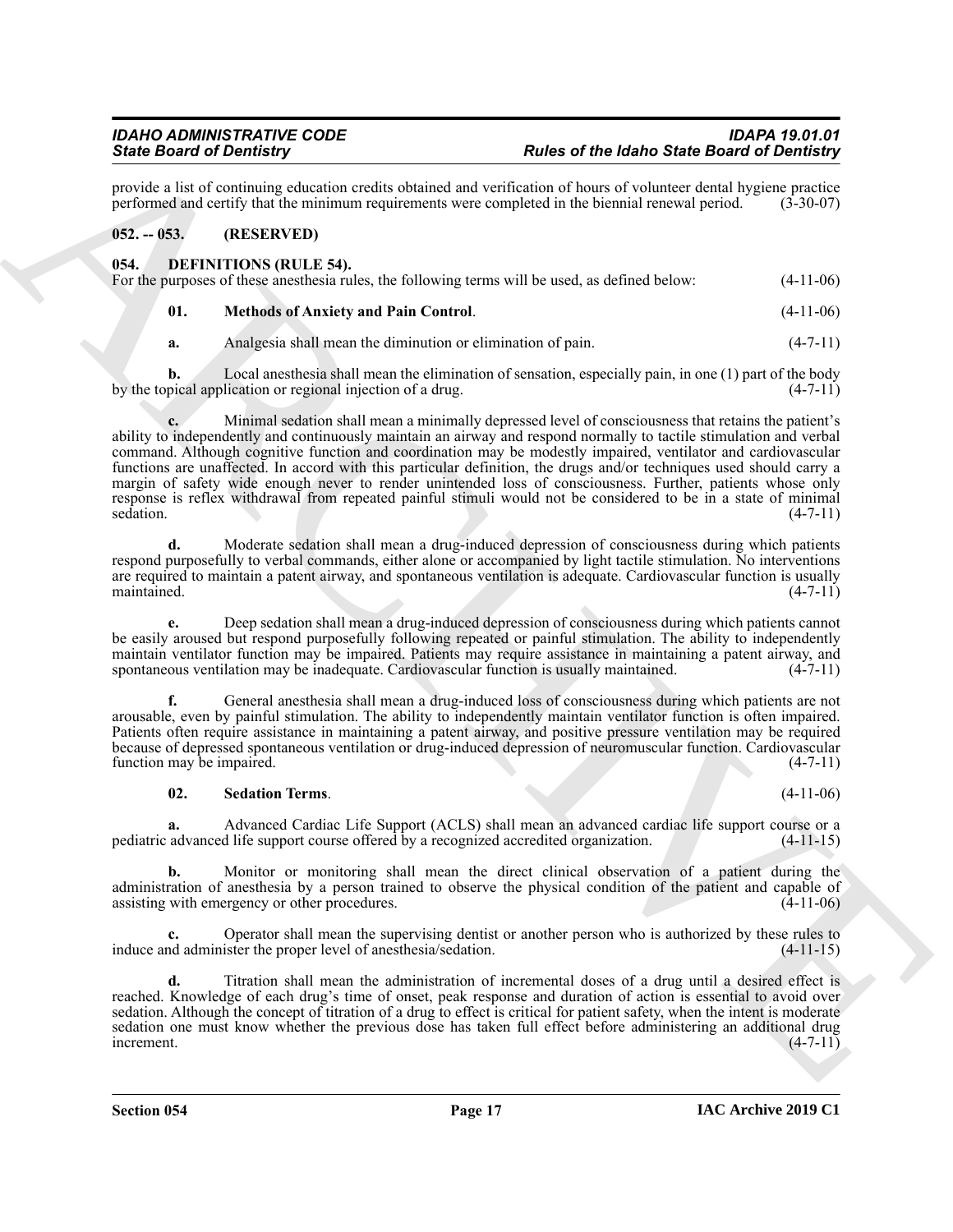provide a list of continuing education credits obtained and verification of hours of volunteer dental hygiene practice<br>performed and certify that the minimum requirements were completed in the biennial renewal period. (3-3 performed and certify that the minimum requirements were completed in the biennial renewal period.

### <span id="page-16-0"></span>**052. -- 053. (RESERVED)**

<span id="page-16-2"></span><span id="page-16-1"></span>

| 054. | <b>DEFINITIONS (RULE 54).</b> |                                                                                                 |             |
|------|-------------------------------|-------------------------------------------------------------------------------------------------|-------------|
|      |                               | For the purposes of these anesthesia rules, the following terms will be used, as defined below: | $(4-11-06)$ |
|      |                               |                                                                                                 |             |

<span id="page-16-3"></span>

| 01. | <b>Methods of Anxiety and Pain Control.</b> | $(4-11-06)$ |
|-----|---------------------------------------------|-------------|
|     |                                             |             |

**a.** Analgesia shall mean the diminution or elimination of pain. (4-7-11)

**b.** Local anesthesia shall mean the elimination of sensation, especially pain, in one (1) part of the body by the topical application or regional injection of a drug. (4-7-11)

Sink Book of Density of the same of the same of the labor of the same of the same Book of the Same Book of the Same Book of the Same Book of the Same Book of the Same Book of the Same Book of the Same Book of the Same Boo **c.** Minimal sedation shall mean a minimally depressed level of consciousness that retains the patient's ability to independently and continuously maintain an airway and respond normally to tactile stimulation and verbal command. Although cognitive function and coordination may be modestly impaired, ventilator and cardiovascular functions are unaffected. In accord with this particular definition, the drugs and/or techniques used should carry a margin of safety wide enough never to render unintended loss of consciousness. Further, patients whose only response is reflex withdrawal from repeated painful stimuli would not be considered to be in a state of minimal sedation. (4-7-11) sedation. (4-7-11)

**d.** Moderate sedation shall mean a drug-induced depression of consciousness during which patients respond purposefully to verbal commands, either alone or accompanied by light tactile stimulation. No interventions are required to maintain a patent airway, and spontaneous ventilation is adequate. Cardiovascular function is usually  $m$ aintained.  $(4-7-11)$ 

**e.** Deep sedation shall mean a drug-induced depression of consciousness during which patients cannot be easily aroused but respond purposefully following repeated or painful stimulation. The ability to independently maintain ventilator function may be impaired. Patients may require assistance in maintaining a patent airway, and spontaneous ventilation may be inadequate. Cardiovascular function is usually maintained.  $(4-7-11)$ 

**f.** General anesthesia shall mean a drug-induced loss of consciousness during which patients are not arousable, even by painful stimulation. The ability to independently maintain ventilator function is often impaired. Patients often require assistance in maintaining a patent airway, and positive pressure ventilation may be required because of depressed spontaneous ventilation or drug-induced depression of neuromuscular function. Cardiovascular function may be impaired. (4-7-11)

### <span id="page-16-4"></span>**02. Sedation Terms**. (4-11-06)

**a.** Advanced Cardiac Life Support (ACLS) shall mean an advanced cardiac life support course or a pediatric advanced life support course offered by a recognized accredited organization. (4-11-15)

**b.** Monitor or monitoring shall mean the direct clinical observation of a patient during the administration of anesthesia by a person trained to observe the physical condition of the patient and capable of assisting with emergency or other procedures. (4-11-06)

Operator shall mean the supervising dentist or another person who is authorized by these rules to ister the proper level of anesthesia/sedation. (4-11-15) induce and administer the proper level of anesthesia/sedation.

**d.** Titration shall mean the administration of incremental doses of a drug until a desired effect is reached. Knowledge of each drug's time of onset, peak response and duration of action is essential to avoid over sedation. Although the concept of titration of a drug to effect is critical for patient safety, when the intent is moderate sedation one must know whether the previous dose has taken full effect before administering an additional drug increment.  $(4-7-11)$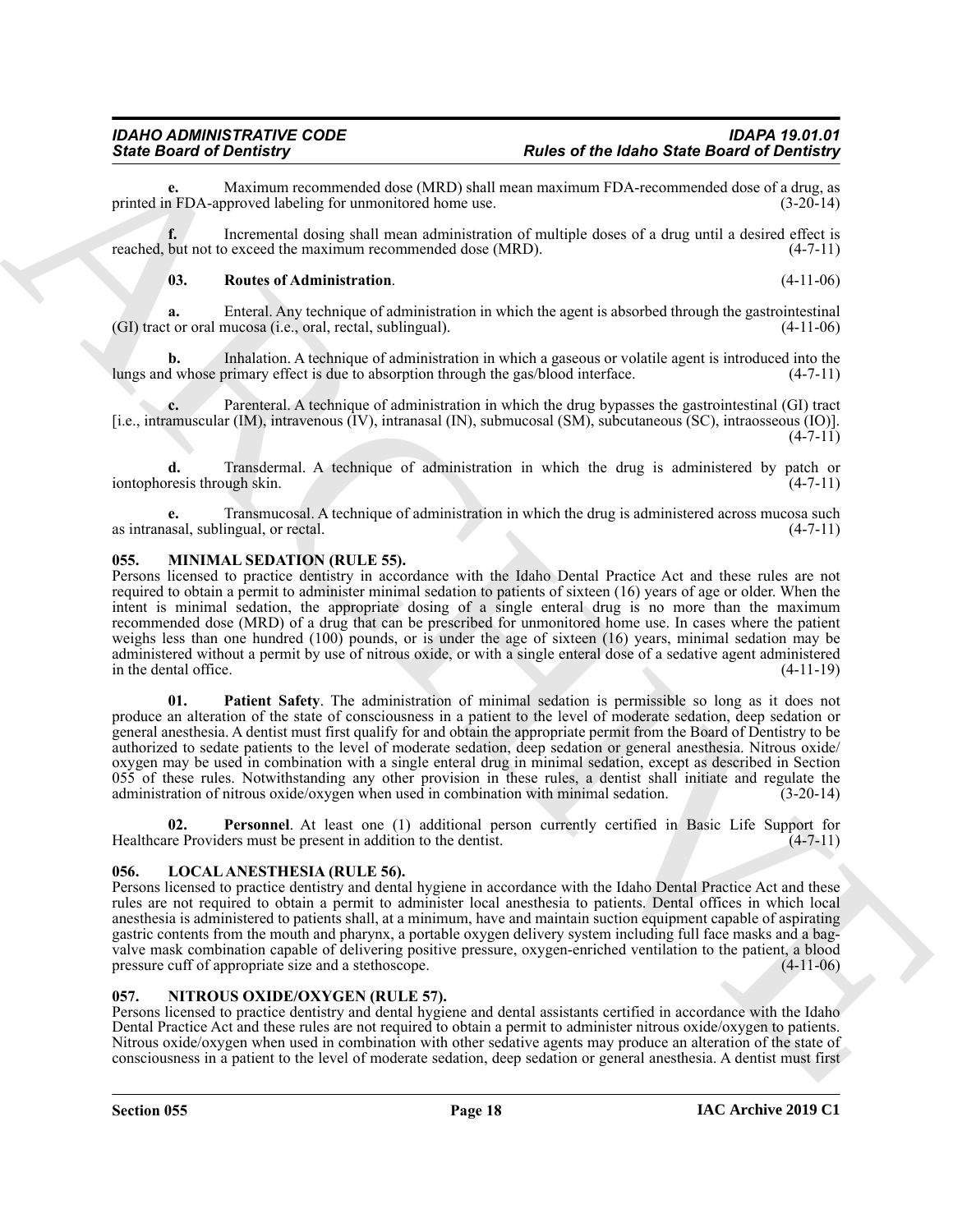Maximum recommended dose (MRD) shall mean maximum FDA-recommended dose of a drug, as<br>proved labeling for unmonitored home use. (3-20-14) printed in FDA-approved labeling for unmonitored home use.

**f.** Incremental dosing shall mean administration of multiple doses of a drug until a desired effect is reached, but not to exceed the maximum recommended dose (MRD). (4-7-11)

# <span id="page-17-3"></span>**03. Routes of Administration**. (4-11-06)

**a.** Enteral. Any technique of administration in which the agent is absorbed through the gastrointestinal (GI) tract or oral mucosa (i.e., oral, rectal, sublingual). (4-11-06)

**b.** Inhalation. A technique of administration in which a gaseous or volatile agent is introduced into the d whose primary effect is due to absorption through the gas/blood interface.  $(4-7-11)$ lungs and whose primary effect is due to absorption through the gas/blood interface.

**c.** Parenteral. A technique of administration in which the drug bypasses the gastrointestinal (GI) tract [i.e., intramuscular (IM), intravenous (IV), intranasal (IN), submucosal (SM), subcutaneous (SC), intraosseous (IO)].  $(4-7-11)$ 

**d.** Transdermal. A technique of administration in which the drug is administered by patch or resis through skin. (4-7-11) iontophoresis through skin.

**e.** Transmucosal. A technique of administration in which the drug is administered across mucosa such as intranasal, sublingual, or rectal. (4-7-11)

# <span id="page-17-5"></span><span id="page-17-0"></span>**055. MINIMAL SEDATION (RULE 55).**

<span id="page-17-6"></span>Persons licensed to practice dentistry in accordance with the Idaho Dental Practice Act and these rules are not required to obtain a permit to administer minimal sedation to patients of sixteen (16) years of age or older. When the intent is minimal sedation, the appropriate dosing of a single enteral drug is no more than the maximum recommended dose (MRD) of a drug that can be prescribed for unmonitored home use. In cases where the patient weighs less than one hundred (100) pounds, or is under the age of sixteen (16) years, minimal sedation may be administered without a permit by use of nitrous oxide, or with a single enteral dose of a sedative agent administered in the dental office. (4-11-19)

Finds **Onder of the lating of the lating Since of the lating Since Board of Demolity and<br>
primari and Democracies and the second of the lating since the second of the lating since Board of Demolity<br>
results in the conside 01. Patient Safety**. The administration of minimal sedation is permissible so long as it does not produce an alteration of the state of consciousness in a patient to the level of moderate sedation, deep sedation or general anesthesia. A dentist must first qualify for and obtain the appropriate permit from the Board of Dentistry to be authorized to sedate patients to the level of moderate sedation, deep sedation or general anesthesia. Nitrous oxide/ oxygen may be used in combination with a single enteral drug in minimal sedation, except as described in Section 055 of these rules. Notwithstanding any other provision in these rules, a dentist shall initiate and regulate the administration of nitrous oxide/oxygen when used in combination with minimal sedation.  $(3-20-14)$ administration of nitrous oxide/oxygen when used in combination with minimal sedation.

<span id="page-17-7"></span>**02. Personnel**. At least one (1) additional person currently certified in Basic Life Support for Healthcare Providers must be present in addition to the dentist. (4-7-11)

# <span id="page-17-4"></span><span id="page-17-1"></span>**056. LOCAL ANESTHESIA (RULE 56).**

Persons licensed to practice dentistry and dental hygiene in accordance with the Idaho Dental Practice Act and these rules are not required to obtain a permit to administer local anesthesia to patients. Dental offices in which local anesthesia is administered to patients shall, at a minimum, have and maintain suction equipment capable of aspirating gastric contents from the mouth and pharynx, a portable oxygen delivery system including full face masks and a bagvalve mask combination capable of delivering positive pressure, oxygen-enriched ventilation to the patient, a blood pressure cuff of appropriate size and a stethoscope. (4-11-06)

# <span id="page-17-8"></span><span id="page-17-2"></span>**057. NITROUS OXIDE/OXYGEN (RULE 57).**

Persons licensed to practice dentistry and dental hygiene and dental assistants certified in accordance with the Idaho Dental Practice Act and these rules are not required to obtain a permit to administer nitrous oxide/oxygen to patients. Nitrous oxide/oxygen when used in combination with other sedative agents may produce an alteration of the state of consciousness in a patient to the level of moderate sedation, deep sedation or general anesthesia. A dentist must first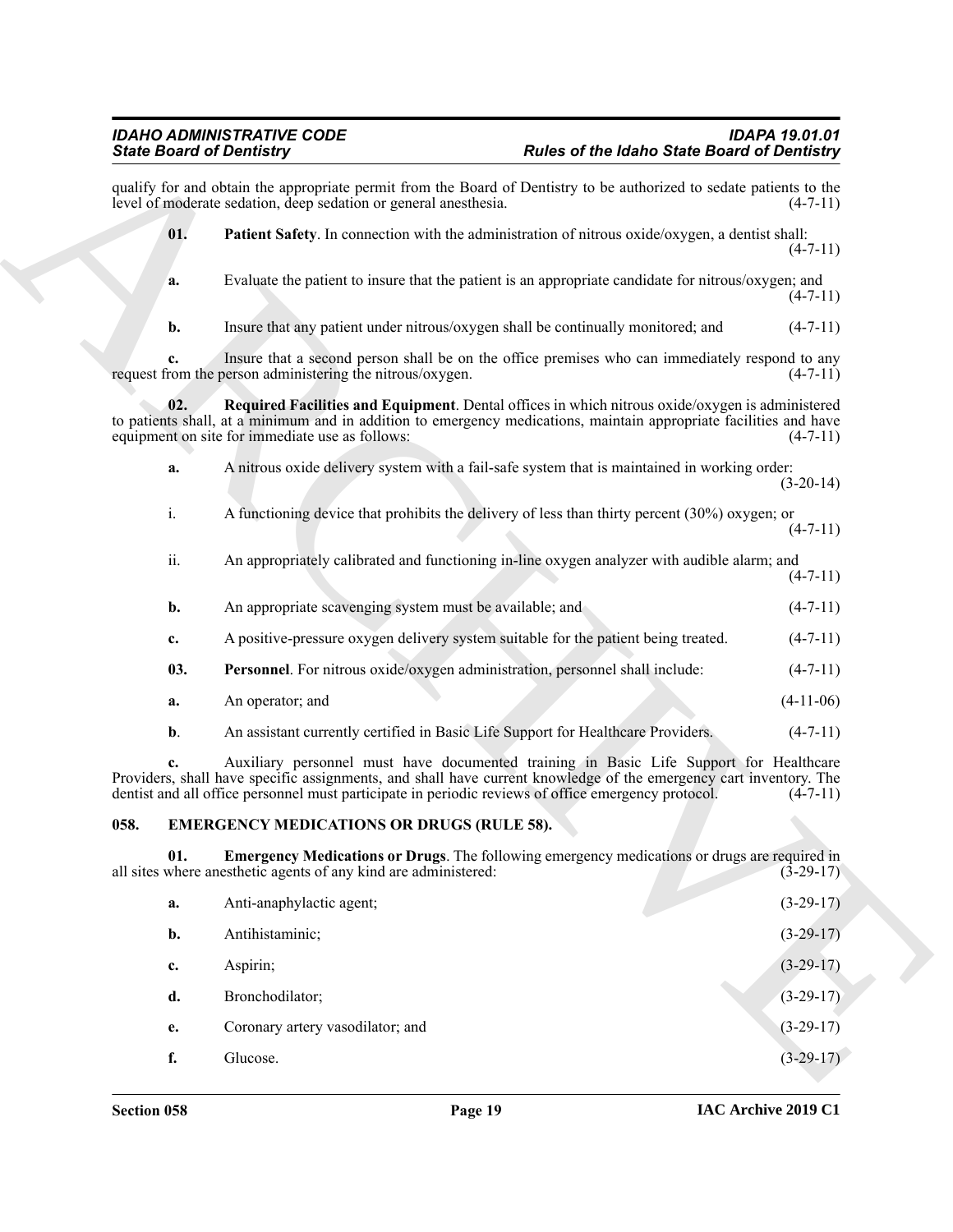<span id="page-18-5"></span><span id="page-18-3"></span>Sink Board of Demitting Theorem is the state of the follows from Eastern Orbitalis Properties (Section 1978)<br>
and the material field of the state of the state of the state of the state Board of Demitting the theorem is a qualify for and obtain the appropriate permit from the Board of Dentistry to be authorized to sedate patients to the level of moderate sedation, deep sedation or general anesthesia. (4-7-11) level of moderate sedation, deep sedation or general anesthesia. **01. Patient Safety**. In connection with the administration of nitrous oxide/oxygen, a dentist shall:  $(4 - 7 - 11)$ **a.** Evaluate the patient to insure that the patient is an appropriate candidate for nitrous/oxygen; and  $(4 - 7 - 11)$ **b.** Insure that any patient under nitrous/oxygen shall be continually monitored; and  $(4-7-11)$ **c.** Insure that a second person shall be on the office premises who can immediately respond to any rom the person administering the nitrous/oxygen.  $(4-7-11)$ request from the person administering the nitrous/oxygen. **02. Required Facilities and Equipment**. Dental offices in which nitrous oxide/oxygen is administered to patients shall, at a minimum and in addition to emergency medications, maintain appropriate facilities and have equipment on site for immediate use as follows: (4-7-11) equipment on site for immediate use as follows: **a.** A nitrous oxide delivery system with a fail-safe system that is maintained in working order:  $(3-20-14)$ i. A functioning device that prohibits the delivery of less than thirty percent (30%) oxygen; or  $(4 - 7 - 11)$ ii. An appropriately calibrated and functioning in-line oxygen analyzer with audible alarm; and  $(4 - 7 - 11)$ **b.** An appropriate scavenging system must be available; and (4-7-11) **c.** A positive-pressure oxygen delivery system suitable for the patient being treated. (4-7-11) **03. Personnel**. For nitrous oxide/oxygen administration, personnel shall include: (4-7-11) **a.** An operator; and (4-11-06) **b.** An assistant currently certified in Basic Life Support for Healthcare Providers. (4-7-11) **c.** Auxiliary personnel must have documented training in Basic Life Support for Healthcare

<span id="page-18-4"></span>Providers, shall have specific assignments, and shall have current knowledge of the emergency cart inventory. The dentist and all office personnel must participate in periodic reviews of office emergency protocol.  $(4-7-11$ dentist and all office personnel must participate in periodic reviews of office emergency protocol.

### <span id="page-18-1"></span><span id="page-18-0"></span>**058. EMERGENCY MEDICATIONS OR DRUGS (RULE 58).**

**01. Emergency Medications or Drugs**. The following emergency medications or drugs are required in where anesthetic agents of any kind are administered: (3-29-17) all sites where anesthetic agents of any kind are administered:

<span id="page-18-2"></span>

| a. | Anti-anaphylactic agent;         | $(3-29-17)$ |
|----|----------------------------------|-------------|
| b. | Antihistaminic;                  | $(3-29-17)$ |
| c. | Aspirin;                         | $(3-29-17)$ |
| d. | Bronchodilator;                  | $(3-29-17)$ |
| e. | Coronary artery vasodilator; and | $(3-29-17)$ |
|    | Glucose.                         | $(3-29-17)$ |
|    |                                  |             |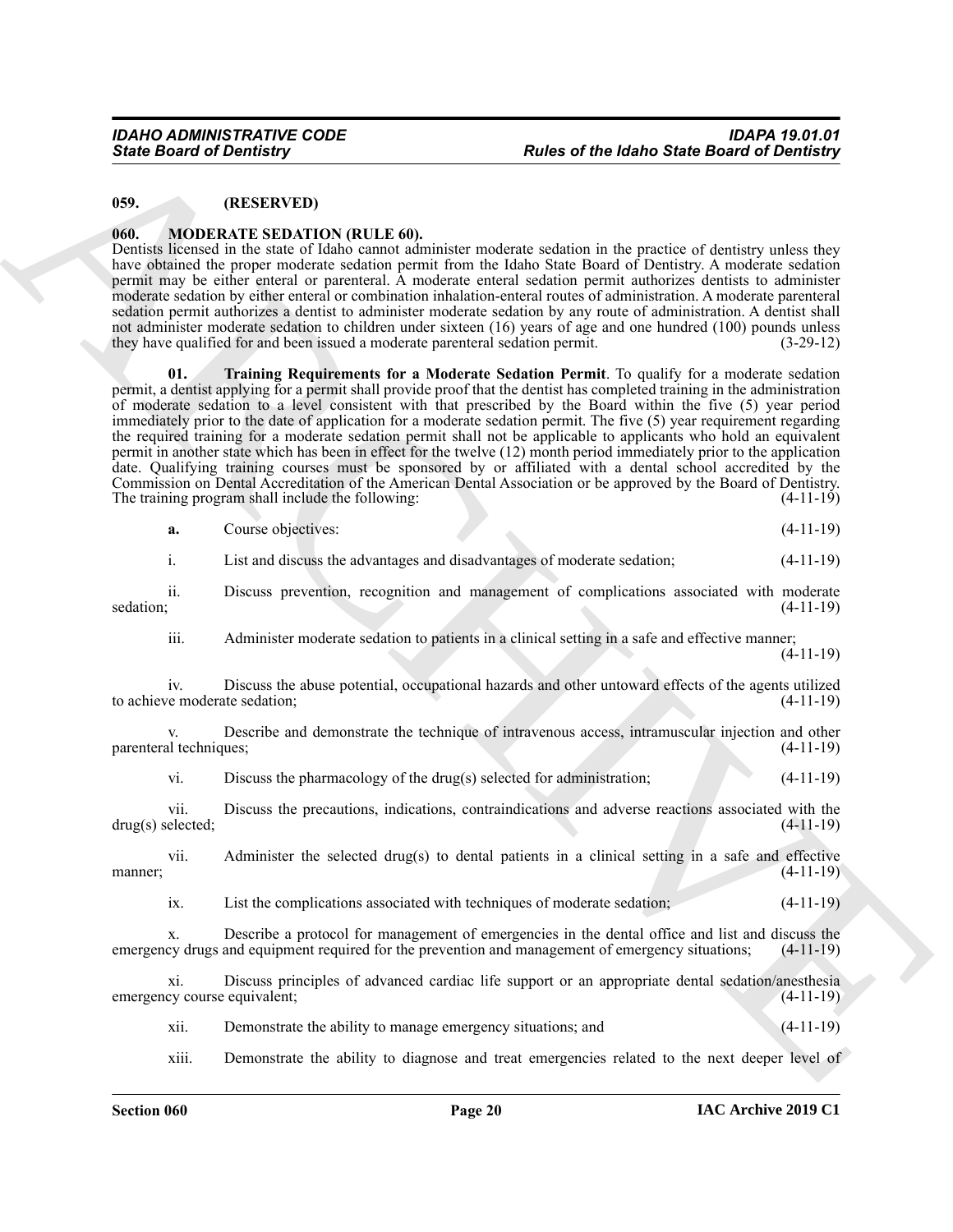#### <span id="page-19-0"></span>**059. (RESERVED)**

#### <span id="page-19-3"></span><span id="page-19-2"></span><span id="page-19-1"></span>**060. MODERATE SEDATION (RULE 60).**

| <b>State Board of Dentistry</b>      |                                                                                                                       | <b>Rules of the Idaho State Board of Dentistry</b>                                                                                                                                                                                                                                                                                                                                                                                                                                                                                                                                                                                                                                                                                                                                                                                                                                                                                             |             |
|--------------------------------------|-----------------------------------------------------------------------------------------------------------------------|------------------------------------------------------------------------------------------------------------------------------------------------------------------------------------------------------------------------------------------------------------------------------------------------------------------------------------------------------------------------------------------------------------------------------------------------------------------------------------------------------------------------------------------------------------------------------------------------------------------------------------------------------------------------------------------------------------------------------------------------------------------------------------------------------------------------------------------------------------------------------------------------------------------------------------------------|-------------|
| 059.                                 | (RESERVED)                                                                                                            |                                                                                                                                                                                                                                                                                                                                                                                                                                                                                                                                                                                                                                                                                                                                                                                                                                                                                                                                                |             |
| 060.                                 | <b>MODERATE SEDATION (RULE 60).</b><br>they have qualified for and been issued a moderate parenteral sedation permit. | Dentists licensed in the state of Idaho cannot administer moderate sedation in the practice of dentistry unless they<br>have obtained the proper moderate sedation permit from the Idaho State Board of Dentistry. A moderate sedation<br>permit may be either enteral or parenteral. A moderate enteral sedation permit authorizes dentists to administer<br>moderate sedation by either enteral or combination inhalation-enteral routes of administration. A moderate parenteral<br>sedation permit authorizes a dentist to administer moderate sedation by any route of administration. A dentist shall<br>not administer moderate sedation to children under sixteen (16) years of age and one hundred (100) pounds unless                                                                                                                                                                                                                | $(3-29-12)$ |
| 01.                                  | The training program shall include the following:                                                                     | Training Requirements for a Moderate Sedation Permit. To qualify for a moderate sedation<br>permit, a dentist applying for a permit shall provide proof that the dentist has completed training in the administration<br>of moderate sedation to a level consistent with that prescribed by the Board within the five (5) year period<br>immediately prior to the date of application for a moderate sedation permit. The five (5) year requirement regarding<br>the required training for a moderate sedation permit shall not be applicable to applicants who hold an equivalent<br>permit in another state which has been in effect for the twelve (12) month period immediately prior to the application<br>date. Qualifying training courses must be sponsored by or affiliated with a dental school accredited by the<br>Commission on Dental Accreditation of the American Dental Association or be approved by the Board of Dentistry. | $(4-11-19)$ |
| a.                                   | Course objectives:                                                                                                    |                                                                                                                                                                                                                                                                                                                                                                                                                                                                                                                                                                                                                                                                                                                                                                                                                                                                                                                                                | $(4-11-19)$ |
| i.                                   |                                                                                                                       | List and discuss the advantages and disadvantages of moderate sedation;                                                                                                                                                                                                                                                                                                                                                                                                                                                                                                                                                                                                                                                                                                                                                                                                                                                                        | $(4-11-19)$ |
| ii.<br>sedation;                     |                                                                                                                       | Discuss prevention, recognition and management of complications associated with moderate                                                                                                                                                                                                                                                                                                                                                                                                                                                                                                                                                                                                                                                                                                                                                                                                                                                       | $(4-11-19)$ |
| iii.                                 |                                                                                                                       | Administer moderate sedation to patients in a clinical setting in a safe and effective manner;                                                                                                                                                                                                                                                                                                                                                                                                                                                                                                                                                                                                                                                                                                                                                                                                                                                 | $(4-11-19)$ |
| 1V.<br>to achieve moderate sedation; |                                                                                                                       | Discuss the abuse potential, occupational hazards and other untoward effects of the agents utilized                                                                                                                                                                                                                                                                                                                                                                                                                                                                                                                                                                                                                                                                                                                                                                                                                                            | $(4-11-19)$ |
| V.<br>parenteral techniques;         |                                                                                                                       | Describe and demonstrate the technique of intravenous access, intramuscular injection and other                                                                                                                                                                                                                                                                                                                                                                                                                                                                                                                                                                                                                                                                                                                                                                                                                                                | $(4-11-19)$ |
| vi.                                  |                                                                                                                       | Discuss the pharmacology of the drug(s) selected for administration;                                                                                                                                                                                                                                                                                                                                                                                                                                                                                                                                                                                                                                                                                                                                                                                                                                                                           | $(4-11-19)$ |
| vii.<br>$drug(s)$ selected;          |                                                                                                                       | Discuss the precautions, indications, contraindications and adverse reactions associated with the                                                                                                                                                                                                                                                                                                                                                                                                                                                                                                                                                                                                                                                                                                                                                                                                                                              | $(4-11-19)$ |
| vii.<br>manner;                      |                                                                                                                       | Administer the selected drug(s) to dental patients in a clinical setting in a safe and effective                                                                                                                                                                                                                                                                                                                                                                                                                                                                                                                                                                                                                                                                                                                                                                                                                                               | $(4-11-19)$ |
| ix.                                  |                                                                                                                       | List the complications associated with techniques of moderate sedation;                                                                                                                                                                                                                                                                                                                                                                                                                                                                                                                                                                                                                                                                                                                                                                                                                                                                        | $(4-11-19)$ |
| х.                                   |                                                                                                                       | Describe a protocol for management of emergencies in the dental office and list and discuss the<br>emergency drugs and equipment required for the prevention and management of emergency situations;                                                                                                                                                                                                                                                                                                                                                                                                                                                                                                                                                                                                                                                                                                                                           | $(4-11-19)$ |
| xi.<br>emergency course equivalent;  |                                                                                                                       | Discuss principles of advanced cardiac life support or an appropriate dental sedation/anesthesia                                                                                                                                                                                                                                                                                                                                                                                                                                                                                                                                                                                                                                                                                                                                                                                                                                               | $(4-11-19)$ |
| xii.                                 | Demonstrate the ability to manage emergency situations; and                                                           |                                                                                                                                                                                                                                                                                                                                                                                                                                                                                                                                                                                                                                                                                                                                                                                                                                                                                                                                                | $(4-11-19)$ |
| xiii.                                |                                                                                                                       | Demonstrate the ability to diagnose and treat emergencies related to the next deeper level of                                                                                                                                                                                                                                                                                                                                                                                                                                                                                                                                                                                                                                                                                                                                                                                                                                                  |             |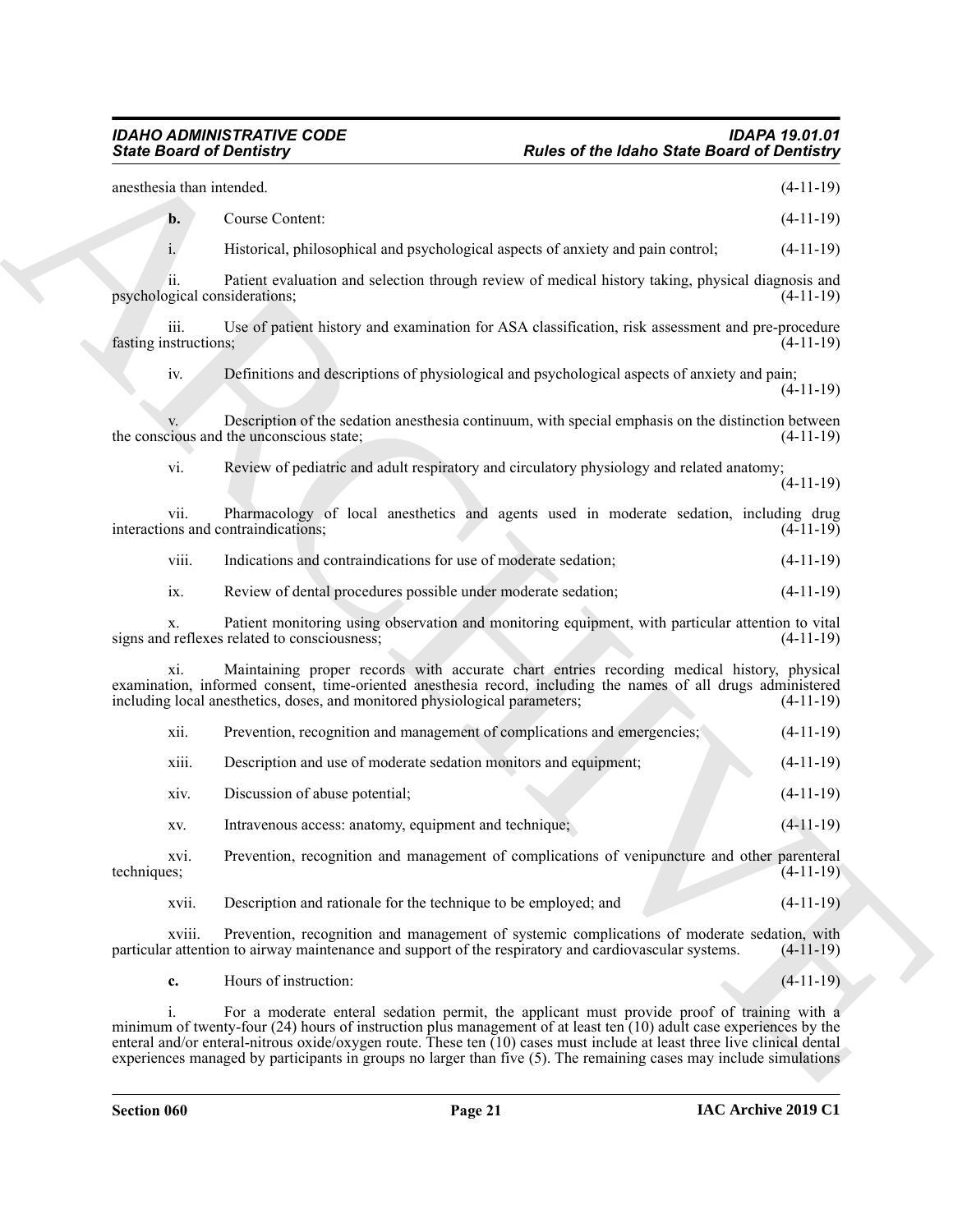| <b>State Board of Dentistry</b>      | <b>Rules of the Idaho State Board of Dentistry</b>                                                                                                                                                                                                                                                                                                                                                                                                                         |             |
|--------------------------------------|----------------------------------------------------------------------------------------------------------------------------------------------------------------------------------------------------------------------------------------------------------------------------------------------------------------------------------------------------------------------------------------------------------------------------------------------------------------------------|-------------|
| anesthesia than intended.            |                                                                                                                                                                                                                                                                                                                                                                                                                                                                            | $(4-11-19)$ |
| b.                                   | Course Content:                                                                                                                                                                                                                                                                                                                                                                                                                                                            | $(4-11-19)$ |
| $i$ .                                | Historical, philosophical and psychological aspects of anxiety and pain control;                                                                                                                                                                                                                                                                                                                                                                                           | $(4-11-19)$ |
| ii.<br>psychological considerations; | Patient evaluation and selection through review of medical history taking, physical diagnosis and                                                                                                                                                                                                                                                                                                                                                                          | $(4-11-19)$ |
| iii.<br>fasting instructions;        | Use of patient history and examination for ASA classification, risk assessment and pre-procedure                                                                                                                                                                                                                                                                                                                                                                           | $(4-11-19)$ |
| iv.                                  | Definitions and descriptions of physiological and psychological aspects of anxiety and pain;                                                                                                                                                                                                                                                                                                                                                                               | $(4-11-19)$ |
|                                      | Description of the sedation anesthesia continuum, with special emphasis on the distinction between<br>the conscious and the unconscious state;                                                                                                                                                                                                                                                                                                                             | $(4-11-19)$ |
| vi.                                  | Review of pediatric and adult respiratory and circulatory physiology and related anatomy;                                                                                                                                                                                                                                                                                                                                                                                  | $(4-11-19)$ |
| vii.                                 | Pharmacology of local anesthetics and agents used in moderate sedation, including drug<br>interactions and contraindications;                                                                                                                                                                                                                                                                                                                                              | $(4-11-19)$ |
| viii.                                | Indications and contraindications for use of moderate sedation;                                                                                                                                                                                                                                                                                                                                                                                                            | $(4-11-19)$ |
| ix.                                  | Review of dental procedures possible under moderate sedation;                                                                                                                                                                                                                                                                                                                                                                                                              | $(4-11-19)$ |
| х.                                   | Patient monitoring using observation and monitoring equipment, with particular attention to vital<br>signs and reflexes related to consciousness;                                                                                                                                                                                                                                                                                                                          | $(4-11-19)$ |
| xi.                                  | Maintaining proper records with accurate chart entries recording medical history, physical<br>examination, informed consent, time-oriented anesthesia record, including the names of all drugs administered<br>including local anesthetics, doses, and monitored physiological parameters;                                                                                                                                                                                 | $(4-11-19)$ |
| xii.                                 | Prevention, recognition and management of complications and emergencies;                                                                                                                                                                                                                                                                                                                                                                                                   | $(4-11-19)$ |
| xiii.                                | Description and use of moderate sedation monitors and equipment;                                                                                                                                                                                                                                                                                                                                                                                                           | $(4-11-19)$ |
| xiv.                                 | Discussion of abuse potential;                                                                                                                                                                                                                                                                                                                                                                                                                                             | $(4-11-19)$ |
| XV.                                  | Intravenous access: anatomy, equipment and technique;                                                                                                                                                                                                                                                                                                                                                                                                                      | $(4-11-19)$ |
| xvi.<br>techniques;                  | Prevention, recognition and management of complications of venipuncture and other parenteral                                                                                                                                                                                                                                                                                                                                                                               | $(4-11-19)$ |
| xvii.                                | Description and rationale for the technique to be employed; and                                                                                                                                                                                                                                                                                                                                                                                                            | $(4-11-19)$ |
| xviii.                               | Prevention, recognition and management of systemic complications of moderate sedation, with<br>particular attention to airway maintenance and support of the respiratory and cardiovascular systems.                                                                                                                                                                                                                                                                       | $(4-11-19)$ |
| c.                                   | Hours of instruction:                                                                                                                                                                                                                                                                                                                                                                                                                                                      | $(4-11-19)$ |
| 1.                                   | For a moderate enteral sedation permit, the applicant must provide proof of training with a<br>minimum of twenty-four $(24)$ hours of instruction plus management of at least ten $(10)$ adult case experiences by the<br>enteral and/or enteral-nitrous oxide/oxygen route. These ten $(10)$ cases must include at least three live clinical dental<br>experiences managed by participants in groups no larger than five (5). The remaining cases may include simulations |             |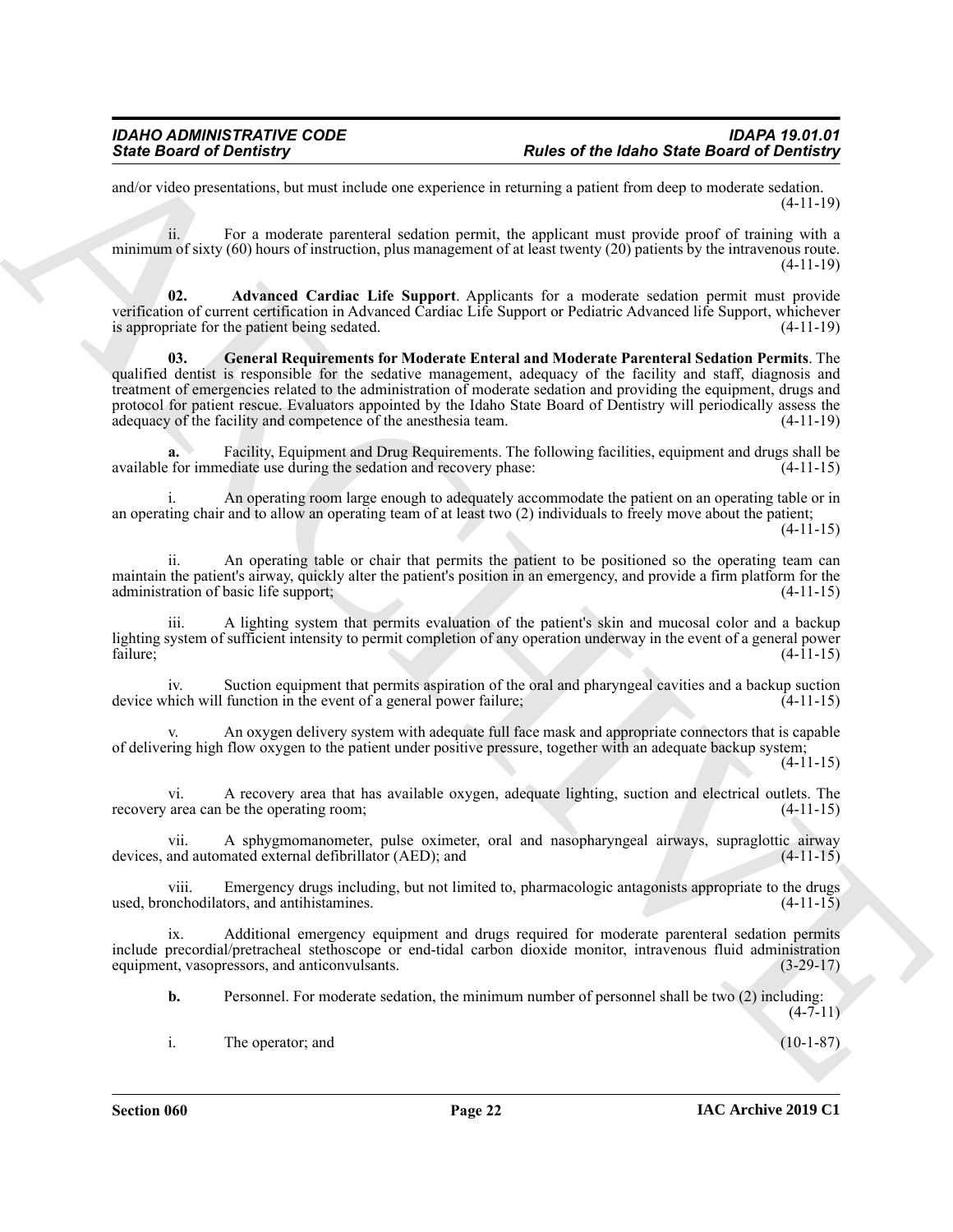and/or video presentations, but must include one experience in returning a patient from deep to moderate sedation. (4-11-19)

ii. For a moderate parenteral sedation permit, the applicant must provide proof of training with a minimum of sixty (60) hours of instruction, plus management of at least twenty (20) patients by the intravenous route. (4-11-19)

<span id="page-21-1"></span><span id="page-21-0"></span>**02. Advanced Cardiac Life Support**. Applicants for a moderate sedation permit must provide verification of current certification in Advanced Cardiac Life Support or Pediatric Advanced life Support, whichever is appropriate for the patient being sedated.  $(4-11-19)$ 

Since Board of Dentising." The state of the folders Since Board of Dentising<br>
reactive space of the folders particle and the state space of the folder space of the folders and the state of the state of the state of the st **03. General Requirements for Moderate Enteral and Moderate Parenteral Sedation Permits**. The qualified dentist is responsible for the sedative management, adequacy of the facility and staff, diagnosis and treatment of emergencies related to the administration of moderate sedation and providing the equipment, drugs and protocol for patient rescue. Evaluators appointed by the Idaho State Board of Dentistry will periodically assess the adequacy of the facility and competence of the anesthesia team. (4-11-19)

**a.** Facility, Equipment and Drug Requirements. The following facilities, equipment and drugs shall be available for immediate use during the sedation and recovery phase: (4-11-15)

An operating room large enough to adequately accommodate the patient on an operating table or in an operating chair and to allow an operating team of at least two (2) individuals to freely move about the patient;  $(4-11-15)$ 

ii. An operating table or chair that permits the patient to be positioned so the operating team can maintain the patient's airway, quickly alter the patient's position in an emergency, and provide a firm platform for the administration of basic life support; (4-11-15)

A lighting system that permits evaluation of the patient's skin and mucosal color and a backup lighting system of sufficient intensity to permit completion of any operation underway in the event of a general power<br>failure: (4-11-15) failure;  $(4-11-15)$ 

iv. Suction equipment that permits aspiration of the oral and pharyngeal cavities and a backup suction device which will function in the event of a general power failure; (4-11-15)

v. An oxygen delivery system with adequate full face mask and appropriate connectors that is capable of delivering high flow oxygen to the patient under positive pressure, together with an adequate backup system;  $(4-11-15)$ 

vi. A recovery area that has available oxygen, adequate lighting, suction and electrical outlets. The recovery area can be the operating room; (4-11-15)

vii. A sphygmomanometer, pulse oximeter, oral and nasopharyngeal airways, supraglottic airway devices, and automated external defibrillator (AED); and

viii. Emergency drugs including, but not limited to, pharmacologic antagonists appropriate to the drugs used, bronchodilators, and antihistamines. (4-11-15)

ix. Additional emergency equipment and drugs required for moderate parenteral sedation permits include precordial/pretracheal stethoscope or end-tidal carbon dioxide monitor, intravenous fluid administration equipment, vasopressors, and anticonvulsants. (3-29-17)

**b.** Personnel. For moderate sedation, the minimum number of personnel shall be two (2) including:  $(4 - 7 - 11)$ 

i. The operator; and (10-1-87)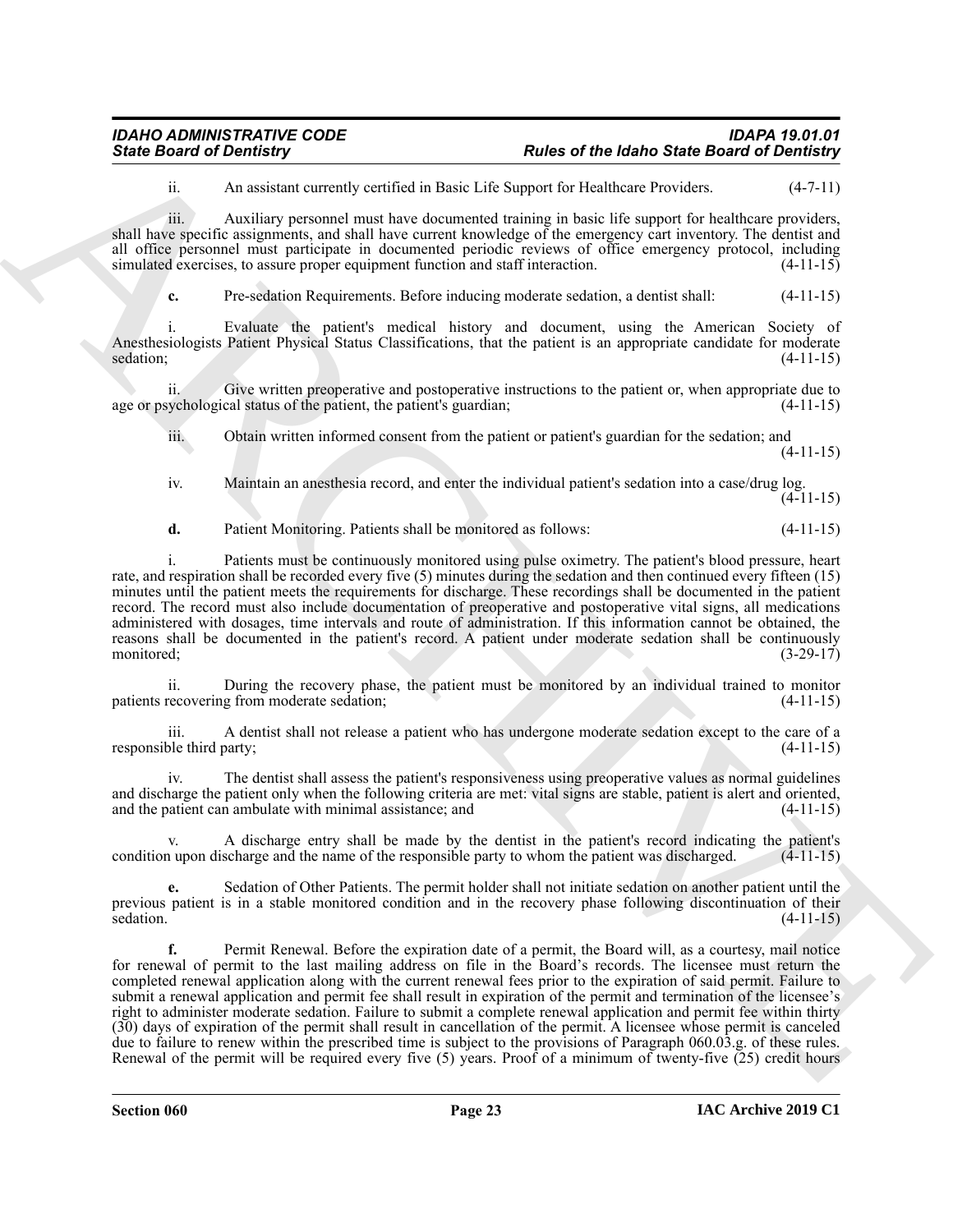| <b>IDAHO ADMINISTRATIVE CODE</b> | IDAPA 19.01.01                                     |
|----------------------------------|----------------------------------------------------|
| <b>State Board of Dentistry</b>  | <b>Rules of the Idaho State Board of Dentistry</b> |

ii. An assistant currently certified in Basic Life Support for Healthcare Providers. (4-7-11)

iii. Auxiliary personnel must have documented training in basic life support for healthcare providers, shall have specific assignments, and shall have current knowledge of the emergency cart inventory. The dentist and all office personnel must participate in documented periodic reviews of office emergency protocol, including simulated exercises, to assure proper equipment function and staff interaction. (4-11-15)

**c.** Pre-sedation Requirements. Before inducing moderate sedation, a dentist shall: (4-11-15)

i. Evaluate the patient's medical history and document, using the American Society of Anesthesiologists Patient Physical Status Classifications, that the patient is an appropriate candidate for moderate  $\text{seddation};$  (4-11-15)

ii. Give written preoperative and postoperative instructions to the patient or, when appropriate due to age or psychological status of the patient, the patient's guardian; (4-11-15)

iii. Obtain written informed consent from the patient or patient's guardian for the sedation; and (4-11-15)

iv. Maintain an anesthesia record, and enter the individual patient's sedation into a case/drug log.  $(4-11-15)$ 

**d.** Patient Monitoring. Patients shall be monitored as follows: (4-11-15)

i. Patients must be continuously monitored using pulse oximetry. The patient's blood pressure, heart rate, and respiration shall be recorded every five (5) minutes during the sedation and then continued every fifteen (15) minutes until the patient meets the requirements for discharge. These recordings shall be documented in the patient record. The record must also include documentation of preoperative and postoperative vital signs, all medications administered with dosages, time intervals and route of administration. If this information cannot be obtained, the reasons shall be documented in the patient's record. A patient under moderate sedation shall be continuously monitored;  $(3-29-17)$ 

ii. During the recovery phase, the patient must be monitored by an individual trained to monitor patients recovering from moderate sedation; (4-11-15)

iii. A dentist shall not release a patient who has undergone moderate sedation except to the care of a responsible third party; (4-11-15)

The dentist shall assess the patient's responsiveness using preoperative values as normal guidelines and discharge the patient only when the following criteria are met: vital signs are stable, patient is alert and oriented, and the patient can ambulate with minimal assistance; and  $(4-11-15)$ and the patient can ambulate with minimal assistance; and

A discharge entry shall be made by the dentist in the patient's record indicating the patient's scharge and the name of the responsible party to whom the patient was discharged. (4-11-15) condition upon discharge and the name of the responsible party to whom the patient was discharged.

**e.** Sedation of Other Patients. The permit holder shall not initiate sedation on another patient until the previous patient is in a stable monitored condition and in the recovery phase following discontinuation of their sedation.  $(4-11-15)$ 

Since **Example of the labor Since of the labor Since Board of Dentificial<br>
Analysis consider states and consider states and the state of the state of the labor Since Board of Dentificial<br>
And Law Society and the state of f.** Permit Renewal. Before the expiration date of a permit, the Board will, as a courtesy, mail notice for renewal of permit to the last mailing address on file in the Board's records. The licensee must return the completed renewal application along with the current renewal fees prior to the expiration of said permit. Failure to submit a renewal application and permit fee shall result in expiration of the permit and termination of the licensee's right to administer moderate sedation. Failure to submit a complete renewal application and permit fee within thirty (30) days of expiration of the permit shall result in cancellation of the permit. A licensee whose permit is canceled due to failure to renew within the prescribed time is subject to the provisions of Paragraph 060.03.g. of these rules. Renewal of the permit will be required every five (5) years. Proof of a minimum of twenty-five (25) credit hours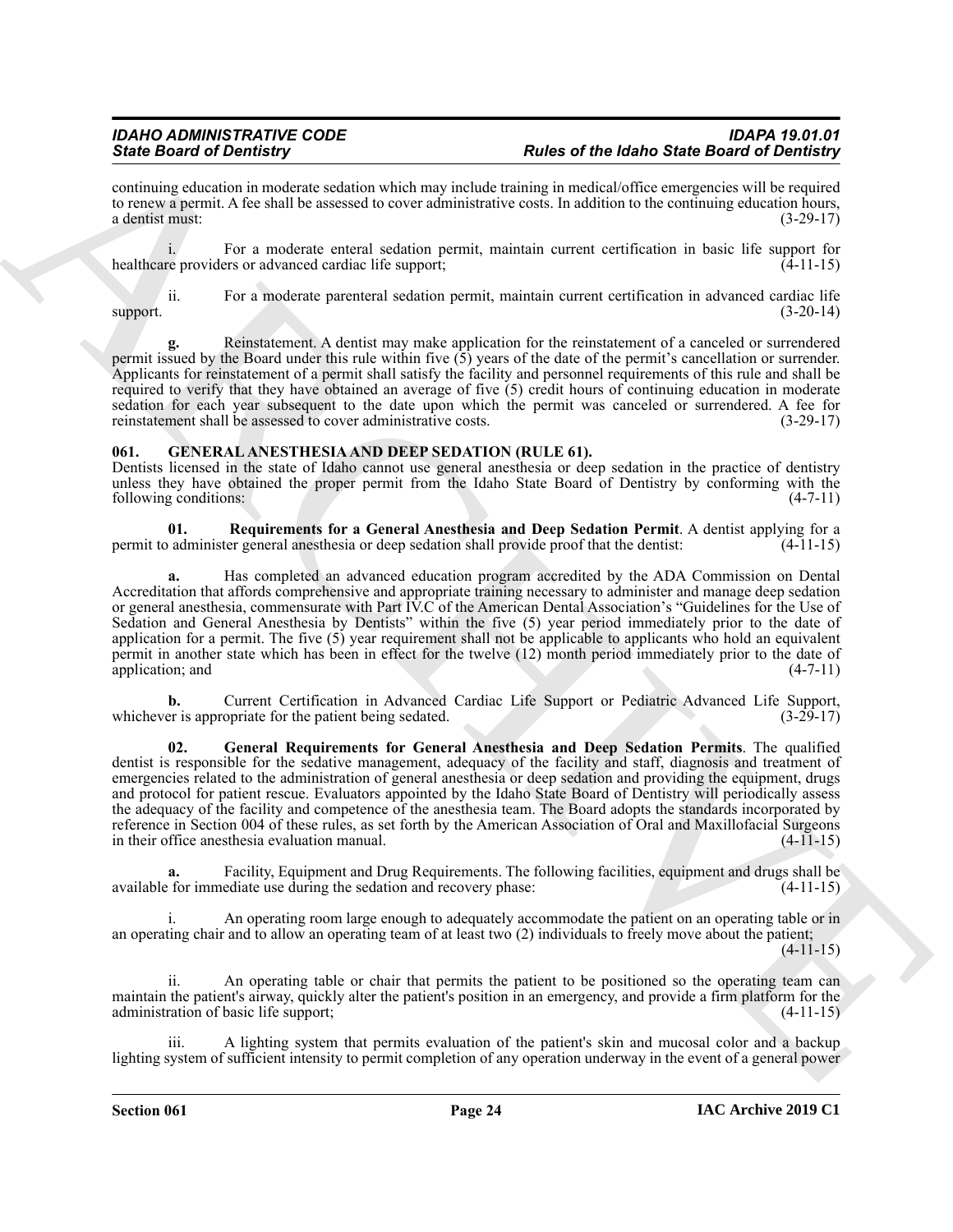continuing education in moderate sedation which may include training in medical/office emergencies will be required to renew a permit. A fee shall be assessed to cover administrative costs. In addition to the continuing education hours, a dentist must: (3-29-17)

i. For a moderate enteral sedation permit, maintain current certification in basic life support for healthcare providers or advanced cardiac life support; (4-11-15)

ii. For a moderate parenteral sedation permit, maintain current certification in advanced cardiac life support. (3-20-14)

**g.** Reinstatement. A dentist may make application for the reinstatement of a canceled or surrendered permit issued by the Board under this rule within five (5) years of the date of the permit's cancellation or surrender. Applicants for reinstatement of a permit shall satisfy the facility and personnel requirements of this rule and shall be required to verify that they have obtained an average of five (5) credit hours of continuing education in moderate sedation for each year subsequent to the date upon which the permit was canceled or surrendered. A fee for reinstatement shall be assessed to cover administrative costs. (3-29-17)

### <span id="page-23-1"></span><span id="page-23-0"></span>**061. GENERAL ANESTHESIA AND DEEP SEDATION (RULE 61).**

Dentists licensed in the state of Idaho cannot use general anesthesia or deep sedation in the practice of dentistry unless they have obtained the proper permit from the Idaho State Board of Dentistry by conforming with the following conditions: (4-7-11)

<span id="page-23-3"></span>**01. Requirements for a General Anesthesia and Deep Sedation Permit**. A dentist applying for a permit to administer general anesthesia or deep sedation shall provide proof that the dentist: (4-11-15)

**a.** Has completed an advanced education program accredited by the ADA Commission on Dental Accreditation that affords comprehensive and appropriate training necessary to administer and manage deep sedation or general anesthesia, commensurate with Part IV.C of the American Dental Association's "Guidelines for the Use of Sedation and General Anesthesia by Dentists" within the five (5) year period immediately prior to the date of application for a permit. The five (5) year requirement shall not be applicable to applicants who hold an equivalent permit in another state which has been in effect for the twelve (12) month period immediately prior to the date of application; and (4-7-11) application; and (4-7-11)

<span id="page-23-2"></span>**b.** Current Certification in Advanced Cardiac Life Support or Pediatric Advanced Life Support, er is appropriate for the patient being sedated. (3-29-17) whichever is appropriate for the patient being sedated.

Sink Board of Demission Contribution in Real of the 1946 of the 1946 of the Solid Sink Contribution in the solid Sink Contribution in the solid Sink Contribution in the solid Sink Contribution in the solid Sink Contributi **02. General Requirements for General Anesthesia and Deep Sedation Permits**. The qualified dentist is responsible for the sedative management, adequacy of the facility and staff, diagnosis and treatment of emergencies related to the administration of general anesthesia or deep sedation and providing the equipment, drugs and protocol for patient rescue. Evaluators appointed by the Idaho State Board of Dentistry will periodically assess the adequacy of the facility and competence of the anesthesia team. The Board adopts the standards incorporated by reference in Section 004 of these rules, as set forth by the American Association of Oral and Maxillofacial Surgeons in their office anesthesia evaluation manual. (4-11-15)

**a.** Facility, Equipment and Drug Requirements. The following facilities, equipment and drugs shall be for immediate use during the sedation and recovery phase: (4-11-15) available for immediate use during the sedation and recovery phase:

An operating room large enough to adequately accommodate the patient on an operating table or in an operating chair and to allow an operating team of at least two (2) individuals to freely move about the patient;

 $(4-11-15)$ 

An operating table or chair that permits the patient to be positioned so the operating team can maintain the patient's airway, quickly alter the patient's position in an emergency, and provide a firm platform for the administration of basic life support; (4-11-15)

A lighting system that permits evaluation of the patient's skin and mucosal color and a backup lighting system of sufficient intensity to permit completion of any operation underway in the event of a general power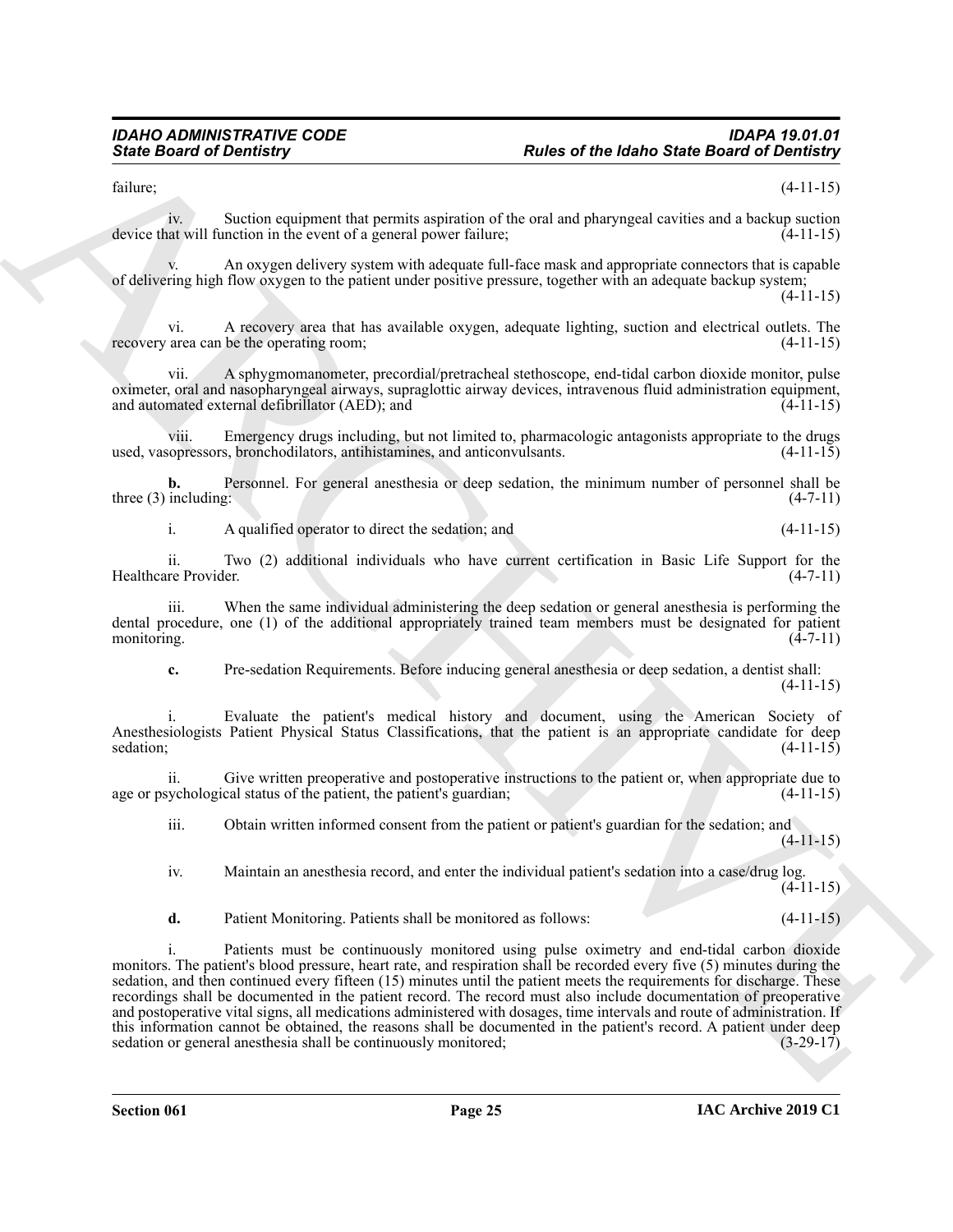$f_{\text{failure}}$ ; (4-11-15)

iv. Suction equipment that permits aspiration of the oral and pharyngeal cavities and a backup suction device that will function in the event of a general power failure; (4-11-15)

An oxygen delivery system with adequate full-face mask and appropriate connectors that is capable of delivering high flow oxygen to the patient under positive pressure, together with an adequate backup system; (4-11-15)

vi. A recovery area that has available oxygen, adequate lighting, suction and electrical outlets. The recovery area can be the operating room; (4-11-15)

vii. A sphygmomanometer, precordial/pretracheal stethoscope, end-tidal carbon dioxide monitor, pulse oximeter, oral and nasopharyngeal airways, supraglottic airway devices, intravenous fluid administration equipment, and automated external defibrillator (AED); and (4-11-15)

viii. Emergency drugs including, but not limited to, pharmacologic antagonists appropriate to the drugs used, vasopressors, bronchodilators, antihistamines, and anticonvulsants. (4-11-15)

**b.** Personnel. For general anesthesia or deep sedation, the minimum number of personnel shall be three (3) including:  $(4-7-11)$ 

i. A qualified operator to direct the sedation; and (4-11-15)

ii. Two (2) additional individuals who have current certification in Basic Life Support for the Healthcare Provider.

iii. When the same individual administering the deep sedation or general anesthesia is performing the dental procedure, one (1) of the additional appropriately trained team members must be designated for patient monitoring.  $(4-7-11)$ 

**c.** Pre-sedation Requirements. Before inducing general anesthesia or deep sedation, a dentist shall: (4-11-15)

i. Evaluate the patient's medical history and document, using the American Society of Anesthesiologists Patient Physical Status Classifications, that the patient is an appropriate candidate for deep sedation: (4-11-15) sedation;  $(4-11-15)$ 

ii. Give written preoperative and postoperative instructions to the patient or, when appropriate due to age or psychological status of the patient, the patient's guardian;

iii. Obtain written informed consent from the patient or patient's guardian for the sedation; and (4-11-15)

iv. Maintain an anesthesia record, and enter the individual patient's sedation into a case/drug log.  $(4-11-15)$ 

**d.** Patient Monitoring. Patients shall be monitored as follows: (4-11-15)

Since Board of Devices and the property interesting particles and and property content of the transformation of the state of the state of the state of the state of the state of the state of the state of the state of the s i. Patients must be continuously monitored using pulse oximetry and end-tidal carbon dioxide monitors. The patient's blood pressure, heart rate, and respiration shall be recorded every five (5) minutes during the sedation, and then continued every fifteen (15) minutes until the patient meets the requirements for discharge. These recordings shall be documented in the patient record. The record must also include documentation of preoperative and postoperative vital signs, all medications administered with dosages, time intervals and route of administration. If this information cannot be obtained, the reasons shall be documented in the patient's record. A patient under deep sedation or general anesthesia shall be continuously monitored; (3-29-17)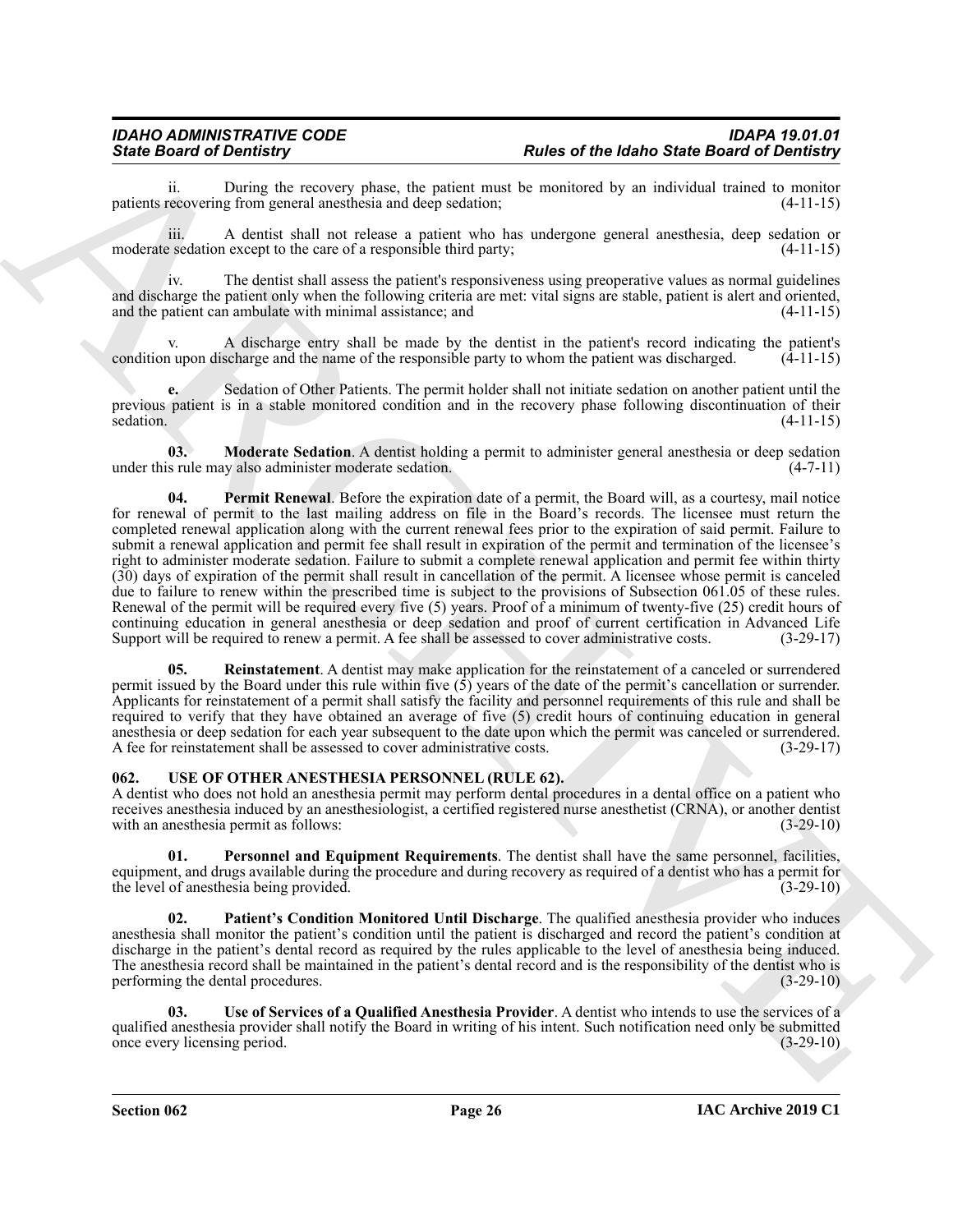## *IDAHO ADMINISTRATIVE CODE IDAPA 19.01.01 State Board of Dentistry Rules of the Idaho State Board of Dentistry*

ii. During the recovery phase, the patient must be monitored by an individual trained to monitor recovering from general anesthesia and deep sedation; (4-11-15) patients recovering from general anesthesia and deep sedation;

iii. A dentist shall not release a patient who has undergone general anesthesia, deep sedation or moderate sedation except to the care of a responsible third party; (4-11-15)

iv. The dentist shall assess the patient's responsiveness using preoperative values as normal guidelines and discharge the patient only when the following criteria are met: vital signs are stable, patient is alert and oriented, and the patient can ambulate with minimal assistance; and  $(4-11-15)$ 

v. A discharge entry shall be made by the dentist in the patient's record indicating the patient's condition upon discharge and the name of the responsible party to whom the patient was discharged.  $(4-11-15)$ 

**e.** Sedation of Other Patients. The permit holder shall not initiate sedation on another patient until the previous patient is in a stable monitored condition and in the recovery phase following discontinuation of their<br>  $(4-11-15)$ sedation. (4-11-15)

<span id="page-25-2"></span><span id="page-25-1"></span>**03. Moderate Sedation**. A dentist holding a permit to administer general anesthesia or deep sedation under this rule may also administer moderate sedation. (4-7-11)

Since Board of Demotity, by the state of the following term of the control of the Board of Demotity<br>
points the control of the points and control of the points and the measurement by multiplete Board of Demotity<br>
material **04. Permit Renewal**. Before the expiration date of a permit, the Board will, as a courtesy, mail notice for renewal of permit to the last mailing address on file in the Board's records. The licensee must return the completed renewal application along with the current renewal fees prior to the expiration of said permit. Failure to submit a renewal application and permit fee shall result in expiration of the permit and termination of the licensee's right to administer moderate sedation. Failure to submit a complete renewal application and permit fee within thirty (30) days of expiration of the permit shall result in cancellation of the permit. A licensee whose permit is canceled due to failure to renew within the prescribed time is subject to the provisions of Subsection 061.05 of these rules. Renewal of the permit will be required every five (5) years. Proof of a minimum of twenty-five (25) credit hours of continuing education in general anesthesia or deep sedation and proof of current certification in Advanced Life Support will be required to renew a permit. A fee shall be assessed to cover administrative costs. (3-29-17)

<span id="page-25-3"></span>**05. Reinstatement**. A dentist may make application for the reinstatement of a canceled or surrendered permit issued by the Board under this rule within five (5) years of the date of the permit's cancellation or surrender. Applicants for reinstatement of a permit shall satisfy the facility and personnel requirements of this rule and shall be required to verify that they have obtained an average of five (5) credit hours of continuing education in general anesthesia or deep sedation for each year subsequent to the date upon which the permit was canceled or surrendered. A fee for reinstatement shall be assessed to cover administrative costs. (3-29-17)

#### <span id="page-25-4"></span><span id="page-25-0"></span>**062. USE OF OTHER ANESTHESIA PERSONNEL (RULE 62).**

A dentist who does not hold an anesthesia permit may perform dental procedures in a dental office on a patient who receives anesthesia induced by an anesthesiologist, a certified registered nurse anesthetist (CRNA), or another dentist with an anesthesia permit as follows: (3-29-10) (3-29-10)

<span id="page-25-6"></span>**01. Personnel and Equipment Requirements**. The dentist shall have the same personnel, facilities, equipment, and drugs available during the procedure and during recovery as required of a dentist who has a permit for<br>(3-29-10) the level of anesthesia being provided.

<span id="page-25-5"></span>**02. Patient's Condition Monitored Until Discharge**. The qualified anesthesia provider who induces anesthesia shall monitor the patient's condition until the patient is discharged and record the patient's condition at discharge in the patient's dental record as required by the rules applicable to the level of anesthesia being induced. The anesthesia record shall be maintained in the patient's dental record and is the responsibility of the dentist who is performing the dental procedures. (3-29-10)

<span id="page-25-7"></span>**03. Use of Services of a Qualified Anesthesia Provider**. A dentist who intends to use the services of a qualified anesthesia provider shall notify the Board in writing of his intent. Such notification need only be submitted once every licensing period. (3-29-10) once every licensing period.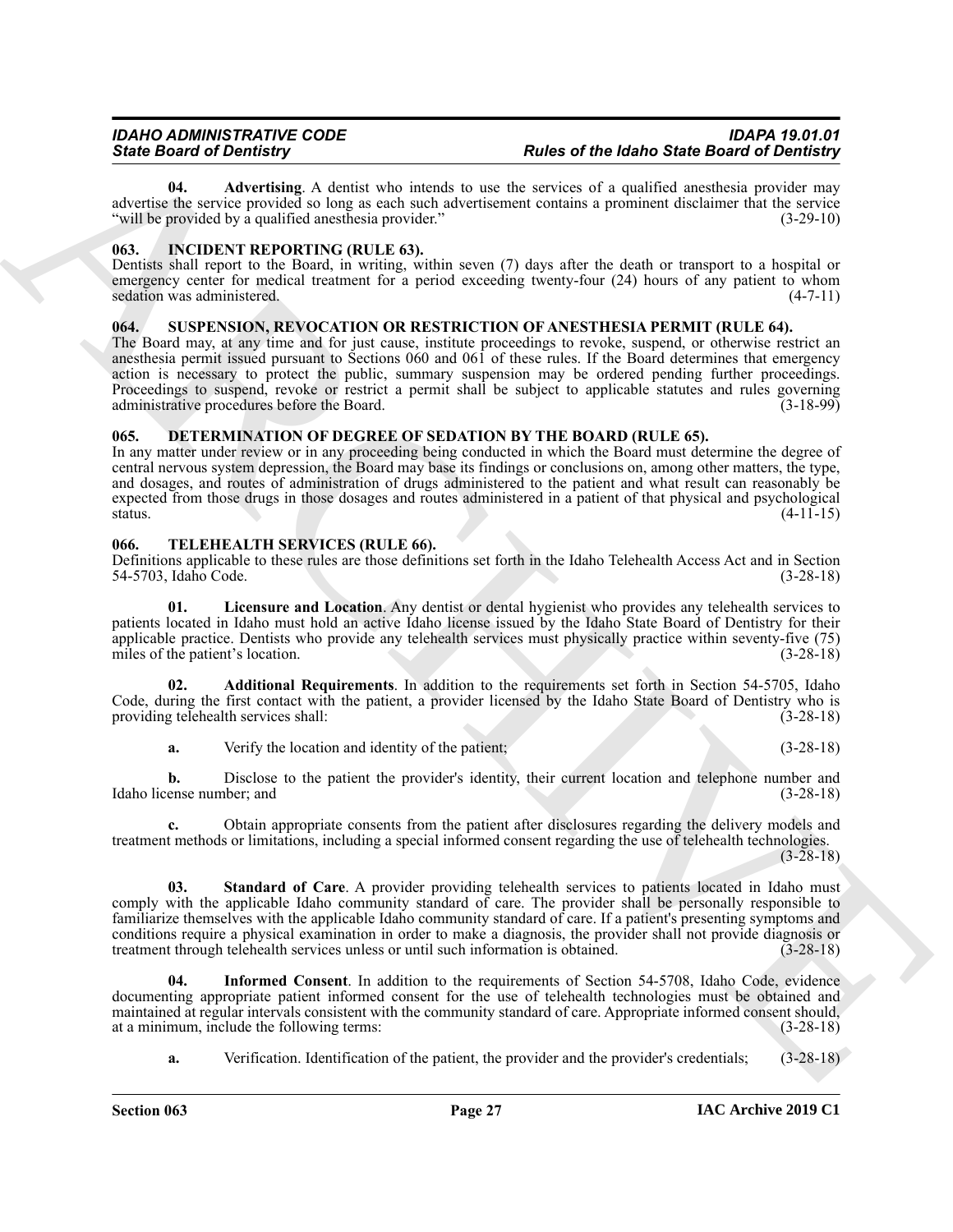<span id="page-26-12"></span>**04. Advertising**. A dentist who intends to use the services of a qualified anesthesia provider may advertise the service provided so long as each such advertisement contains a prominent disclaimer that the service "will be provided by a qualified anesthesia provider." (3-29-10)

### <span id="page-26-5"></span><span id="page-26-0"></span>**063. INCIDENT REPORTING (RULE 63).**

Dentists shall report to the Board, in writing, within seven (7) days after the death or transport to a hospital or emergency center for medical treatment for a period exceeding twenty-four (24) hours of any patient to whom sedation was administered. (4-7-11)

### <span id="page-26-6"></span><span id="page-26-1"></span>064. SUSPENSION, REVOCATION OR RESTRICTION OF ANESTHESIA PERMIT (RULE 64).

The Board may, at any time and for just cause, institute proceedings to revoke, suspend, or otherwise restrict an anesthesia permit issued pursuant to Sections 060 and 061 of these rules. If the Board determines that emergency action is necessary to protect the public, summary suspension may be ordered pending further proceedings. Proceedings to suspend, revoke or restrict a permit shall be subject to applicable statutes and rules governing administrative procedures before the Board. (3-18-99)

### <span id="page-26-4"></span><span id="page-26-2"></span>**065. DETERMINATION OF DEGREE OF SEDATION BY THE BOARD (RULE 65).**

In any matter under review or in any proceeding being conducted in which the Board must determine the degree of central nervous system depression, the Board may base its findings or conclusions on, among other matters, the type, and dosages, and routes of administration of drugs administered to the patient and what result can reasonably be expected from those drugs in those dosages and routes administered in a patient of that physical and psychological status. (4-11-15) status.  $(4-11-15)$ 

### <span id="page-26-7"></span><span id="page-26-3"></span>**066. TELEHEALTH SERVICES (RULE 66).**

Definitions applicable to these rules are those definitions set forth in the Idaho Telehealth Access Act and in Section 54-5703, Idaho Code.

<span id="page-26-10"></span>**01. Licensure and Location**. Any dentist or dental hygienist who provides any telehealth services to patients located in Idaho must hold an active Idaho license issued by the Idaho State Board of Dentistry for their applicable practice. Dentists who provide any telehealth services must physically practice within seventy-five (75) miles of the patient's location. (3-28-18) miles of the patient's location.

**02. Additional Requirements**. In addition to the requirements set forth in Section 54-5705, Idaho Code, during the first contact with the patient, a provider licensed by the Idaho State Board of Dentistry who is providing telehealth services shall: (3-28-18) providing telehealth services shall:

<span id="page-26-8"></span>**a.** Verify the location and identity of the patient; (3-28-18)

**b.** Disclose to the patient the provider's identity, their current location and telephone number and ense number; and  $(3-28-18)$ Idaho license number; and

<span id="page-26-11"></span>**c.** Obtain appropriate consents from the patient after disclosures regarding the delivery models and treatment methods or limitations, including a special informed consent regarding the use of telehealth technologies.  $(3-28-18)$ 

Since Brazilea and Finderick Administration of the since of the finder Since Brazilea and of Finderick Administration of the since Brazilea and Finderick Administration of the since Brazilea and Administration of the sinc **03. Standard of Care**. A provider providing telehealth services to patients located in Idaho must comply with the applicable Idaho community standard of care. The provider shall be personally responsible to familiarize themselves with the applicable Idaho community standard of care. If a patient's presenting symptoms and conditions require a physical examination in order to make a diagnosis, the provider shall not provide diagnosis or<br>treatment through telehealth services unless or until such information is obtained. (3-28-18) treatment through telehealth services unless or until such information is obtained.

**04. Informed Consent**. In addition to the requirements of Section 54-5708, Idaho Code, evidence documenting appropriate patient informed consent for the use of telehealth technologies must be obtained and maintained at regular intervals consistent with the community standard of care. Appropriate informed consent should, at a minimum, include the following terms: at a minimum, include the following terms:

<span id="page-26-9"></span>**a.** Verification. Identification of the patient, the provider and the provider's credentials; (3-28-18)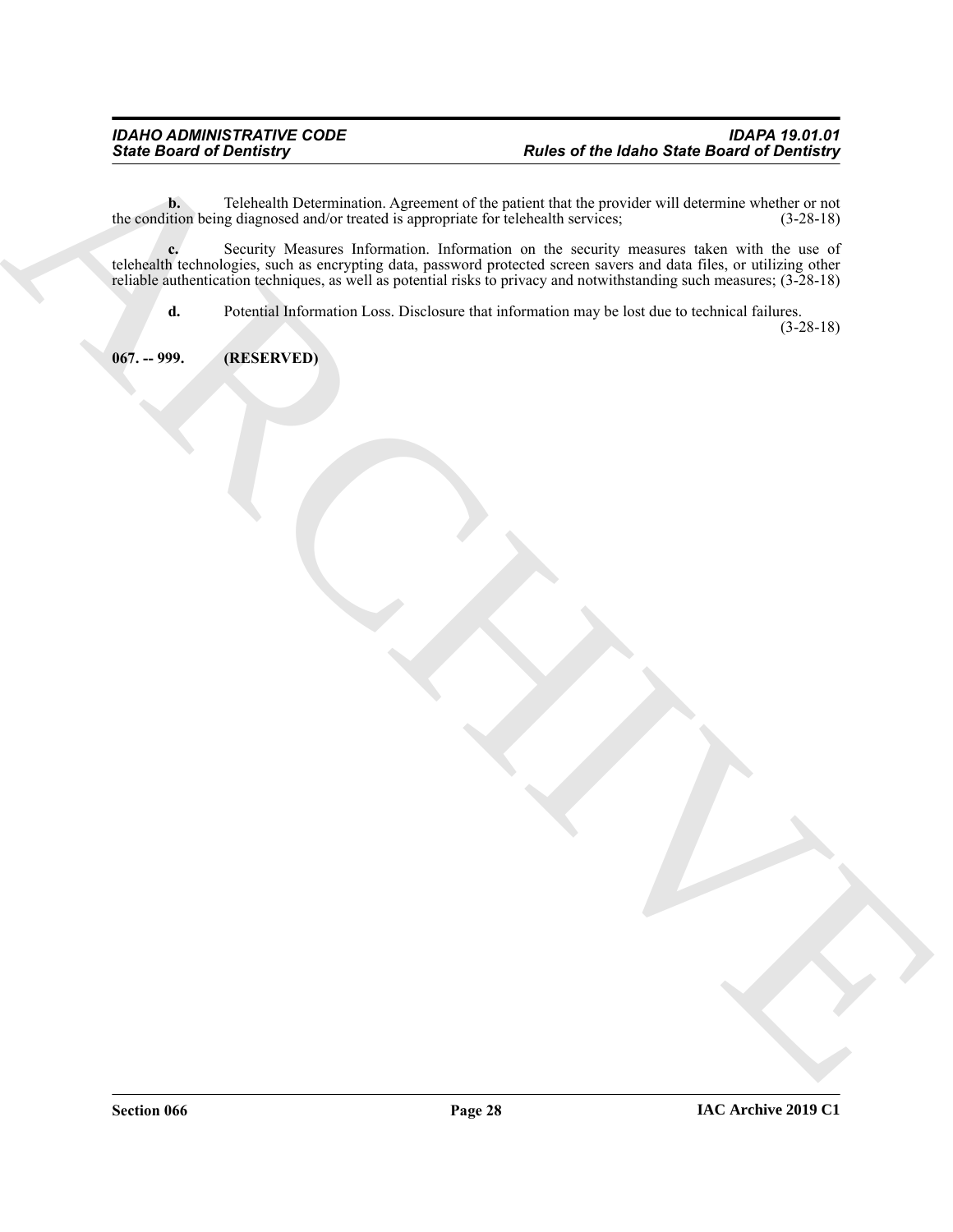**b.** Telehealth Determination. Agreement of the patient that the provider will determine whether or not the condition being diagnosed and/or treated is appropriate for telehealth services; (3-28-18)

Since Board of Decidency<br>
Natural Constitution Appendix approximation of the constitution of the Marchives Since Board of Decidency<br>
Natural Constitution Constitution of the constitution of the constitution of the constitu **c.** Security Measures Information. Information on the security measures taken with the use of telehealth technologies, such as encrypting data, password protected screen savers and data files, or utilizing other reliable authentication techniques, as well as potential risks to privacy and notwithstanding such measures; (3-28-18)

**d.** Potential Information Loss. Disclosure that information may be lost due to technical failures.

(3-28-18)

<span id="page-27-0"></span>**067. -- 999. (RESERVED)**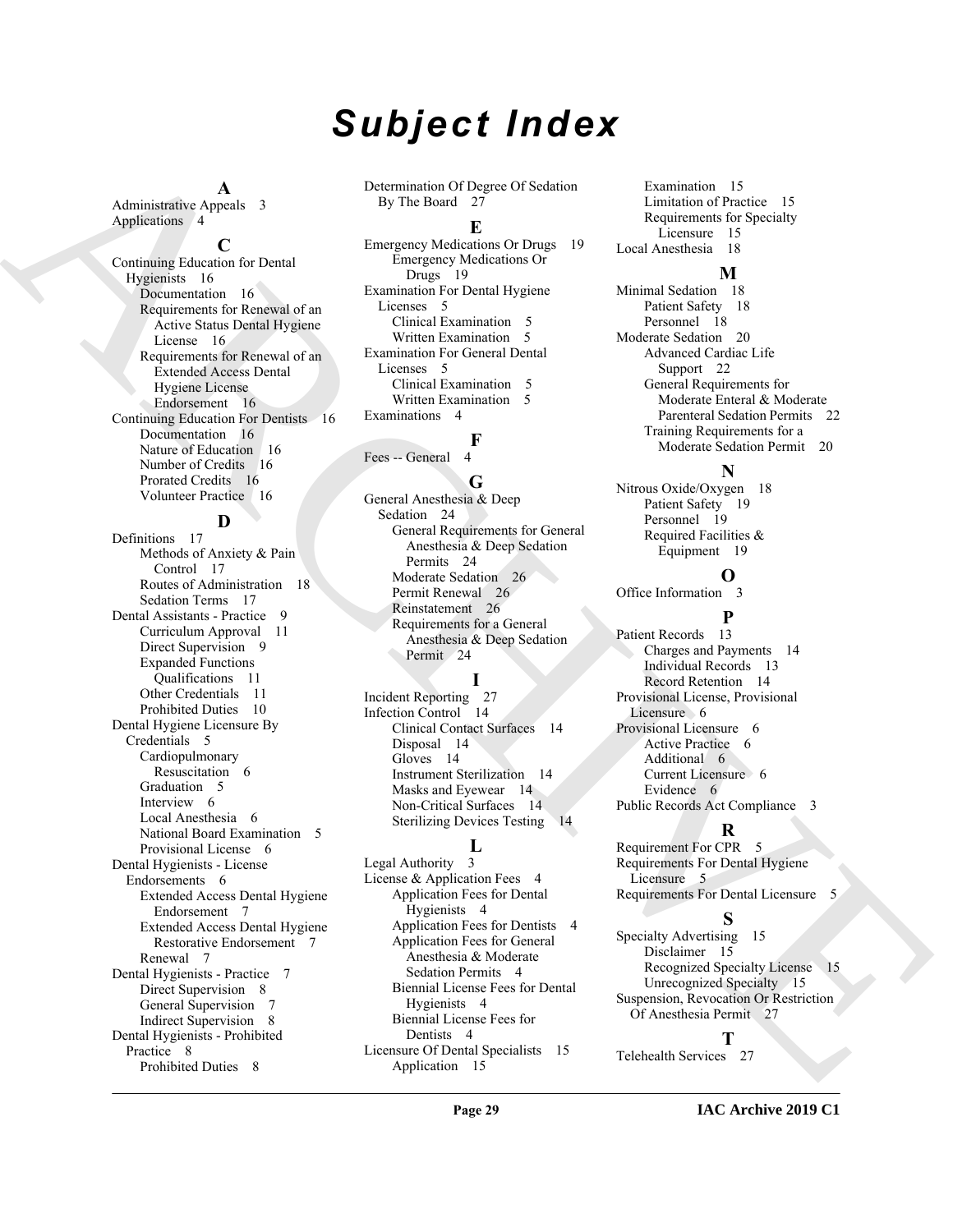# *Subject Index*

**A**

Administrative Appeals 3 Applications 4

#### **C**

Continuing Education for Dental Hygienists 16 Documentation 16 Requirements for Renewal of an Active Status Dental Hygiene License 16 Requirements for Renewal of an Extended Access Dental Hygiene License Endorsement 16 Continuing Education For Dentists 16 Documentation 16 Nature of Education 16 Number of Credits 16 Prorated Credits 16 Volunteer Practice 16

# **D**

[A](#page-15-5)dministration Applies to the the formula of Payne Uristical Demonstration (Space of Space 19)<br>Applies on the the stress of the formula of the stress of the stress of the stress of the stress of the stress of the stress o Definitions 17 Methods of Anxiety & Pain Control 17 Routes of Administration 18 Sedation Terms 17 Dental Assistants - Practice 9 Curriculum Approval 11 Direct Supervision 9 Expanded Functions Qualifications 11 Other Credentials 11 Prohibited Duties 10 Dental Hygiene Licensure By Credentials 5 Cardiopulmonary Resuscitation 6 Graduation 5 Interview 6 Local Anesthesia 6 National Board Examination 5 Provisional License 6 Dental Hygienists - License Endorsements 6 Extended Access Dental Hygiene Endorsement 7 Extended Access Dental Hygiene Restorative Endorsement 7 Renewal 7 Dental Hygienists - Practice 7 Direct Supervision 8 General Supervision 7 Indirect Supervision 8 Dental Hygienists - Prohibited Practice 8 Prohibited Duties 8

Determination Of Degree Of Sedation By The Board 27

#### **E**

Emergency Medications Or Drugs 19 Emergency Medications Or Drugs 19 Examination For Dental Hygiene Licenses 5 Clinical Examination 5 Written Examination 5 Examination For General Dental Licenses 5 Clinical Examination 5 Written Examination 5 Examinations 4

### **F**

Fees -- General

#### **G**

General Anesthesia & Deep Sedation 24 General Requirements for General Anesthesia & Deep Sedation Permits 24 Moderate Sedation 26 Permit Renewal 26 Reinstatement 26 Requirements for a General Anesthesia & Deep Sedation Permit 24

## **I**

Incident Reporting 27 Infection Control 14 Clinical Contact Surfaces 14 Disposal 14 Gloves 14 Instrument Sterilization 14 Masks and Eyewear 14 Non-Critical Surfaces 14 Sterilizing Devices Testing 14

### **L**

Legal Authority 3 License & Application Fees 4 Application Fees for Dental Hygienists 4 Application Fees for Dentists 4 Application Fees for General Anesthesia & Moderate Sedation Permits 4 Biennial License Fees for Dental Hygienists 4 Biennial License Fees for Dentists 4 Licensure Of Dental Specialists 15 Application 15

Examination 15 Limitation of Practice 15 Requirements for Specialty Licensure 15 Local Anesthesia 18

#### **M**

Minimal Sedation 18 Patient Safety 18 Personnel 18 Moderate Sedation 20 Advanced Cardiac Life Support 22 General Requirements for Moderate Enteral & Moderate Parenteral Sedation Permits 22 Training Requirements for a Moderate Sedation Permit 20

# **N**

Nitrous Oxide/Oxygen 18 Patient Safety 19 Personnel 19 Required Facilities & Equipment 19

### **O**

Office Information 3

#### **P**

Patient Records 13 Charges and Payments 14 Individual Records 13 Record Retention 14 Provisional License, Provisional Licensure 6 Provisional Licensure 6 Active Practice 6 Additional 6 Current Licensure 6 Evidence 6 Public Records Act Compliance 3

## **R**

Requirement For CPR 5 Requirements For Dental Hygiene Licensure 5 Requirements For Dental Licensure 5

### **S**

Specialty Advertising 15 Disclaimer 15 Recognized Specialty License 15 Unrecognized Specialty 15 Suspension, Revocation Or Restriction Of Anesthesia Permit 27

### **T**

Telehealth Services 27